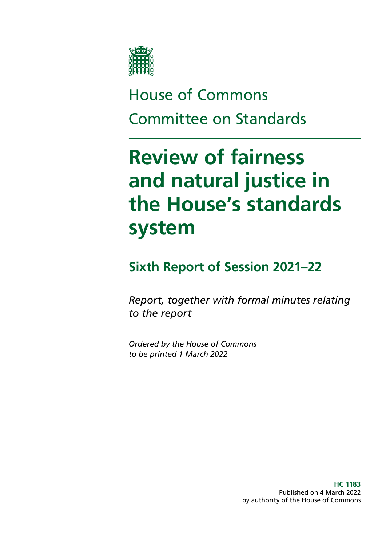

# House of Commons Committee on Standards

# **Review of fairness and natural justice in the House's standards system**

## **Sixth Report of Session 2021–22**

*Report, together with formal minutes relating to the report*

*Ordered by the House of Commons to be printed 1 March 2022*

> **HC 1183** Published on 4 March 2022 by authority of the House of Commons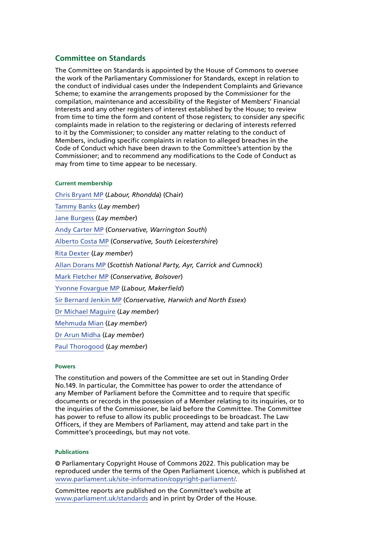#### **Committee on Standards**

The Committee on Standards is appointed by the House of Commons to oversee the work of the Parliamentary Commissioner for Standards, except in relation to the conduct of individual cases under the Independent Complaints and Grievance Scheme; to examine the arrangements proposed by the Commissioner for the compilation, maintenance and accessibility of the Register of Members' Financial Interests and any other registers of interest established by the House; to review from time to time the form and content of those registers; to consider any specific complaints made in relation to the registering or declaring of interests referred to it by the Commissioner; to consider any matter relating to the conduct of Members, including specific complaints in relation to alleged breaches in the Code of Conduct which have been drawn to the Committee's attention by the Commissioner; and to recommend any modifications to the Code of Conduct as may from time to time appear to be necessary.

#### **Current membership**

[Chris Bryant MP](https://members.parliament.uk/member/1446/contact) (*Labour, Rhondda*) (Chair) [Tammy Banks](https://committees.parliament.uk/committee/290/committee-on-standards/content/138849/Tammy-Banks-lay-members-committee-on-standards/) (*Lay member*) [Jane Burgess](https://committees.parliament.uk/committee/290/committee-on-standards/content/138872/Jane-Burgess-lay-members-committee-on-standards/) (*Lay member*) [Andy Carter MP](https://members.parliament.uk/member/4791/contact) (*Conservative, Warrington South*) [Alberto Costa MP](https://members.parliament.uk/member/4439/contact) (*Conservative, South Leicestershire*) [Rita Dexter](https://committees.parliament.uk/committee/290/committee-on-standards/content/138875/Rita-Dexter-lay-members-committee-on-standards/) (*Lay member*) [Allan Dorans MP](https://members.parliament.uk/member/4740/contact) (*Scottish National Party, Ayr, Carrick and Cumnock*) [Mark Fletcher MP](https://members.parliament.uk/member/4774/contact) (*Conservative, Bolsover*) [Yvonne Fovargue MP](https://members.parliament.uk/member/4034/contact) (*Labour, Makerfield*) [Sir Bernard Jenkin MP](https://members.parliament.uk/member/40/contact) (*Conservative, Harwich and North Essex*) [Dr Michael Maguire](https://committees.parliament.uk/committee/290/committee-on-standards/content/153478/Michael-Maguire-lay-members-committee-on-standards/) (*Lay member*) [Mehmuda Mian](https://committees.parliament.uk/committee/290/committee-on-standards/content/156410/Mehmuda-Mian-lay-members-committee-on-standards/) (*Lay member*) [Dr Arun Midha](https://committees.parliament.uk/committee/290/committee-on-standards/content/138878/Arun-Midha-lay-members-committee-on-standards/) (*Lay member*) [Paul Thorogood](https://committees.parliament.uk/committee/290/committee-on-standards/content/138881/Paul-Thorogood-lay-members-committee-on-standards/) (*Lay member*)

#### **Powers**

The constitution and powers of the Committee are set out in Standing Order No.149. In particular, the Committee has power to order the attendance of any Member of Parliament before the Committee and to require that specific documents or records in the possession of a Member relating to its inquiries, or to the inquiries of the Commissioner, be laid before the Committee. The Committee has power to refuse to allow its public proceedings to be broadcast. The Law Officers, if they are Members of Parliament, may attend and take part in the Committee's proceedings, but may not vote.

#### **Publications**

© Parliamentary Copyright House of Commons 2022. This publication may be reproduced under the terms of the Open Parliament Licence, which is published at [www.parliament.uk/site-information/copyright-parliament/](https://www.parliament.uk/site-information/copyright-parliament/).

Committee reports are published on the Committee's website at [www.parliament.uk/standards](https://committees.parliament.uk/committee/290/committee-on-standards/) and in print by Order of the House.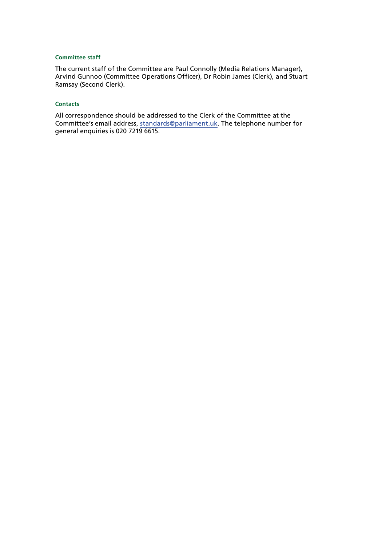#### **Committee staff**

The current staff of the Committee are Paul Connolly (Media Relations Manager), Arvind Gunnoo (Committee Operations Officer), Dr Robin James (Clerk), and Stuart Ramsay (Second Clerk).

#### **Contacts**

All correspondence should be addressed to the Clerk of the Committee at the Committee's email address, [standards@parliament.uk.](mailto:standards%40parliament.uk?subject=) The telephone number for general enquiries is 020 7219 6615.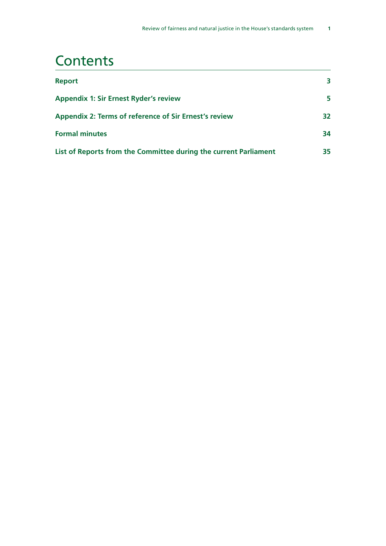## **Contents**

| <b>Report</b>                                                    | 3.  |
|------------------------------------------------------------------|-----|
| <b>Appendix 1: Sir Ernest Ryder's review</b>                     | 5.  |
| <b>Appendix 2: Terms of reference of Sir Ernest's review</b>     | 32  |
| <b>Formal minutes</b>                                            | 34. |
| List of Reports from the Committee during the current Parliament | 35. |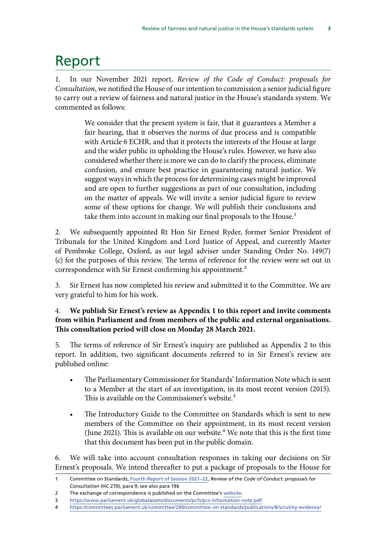# <span id="page-4-0"></span>Report

1. In our November 2021 report, *Review of the Code of Conduct: proposals for Consultation*, we notified the House of our intention to commission a senior judicial figure to carry out a review of fairness and natural justice in the House's standards system. We commented as follows:

> We consider that the present system is fair, that it guarantees a Member a fair hearing, that it observes the norms of due process and is compatible with Article 6 ECHR, and that it protects the interests of the House at large and the wider public in upholding the House's rules. However, we have also considered whether there is more we can do to clarify the process, eliminate confusion, and ensure best practice in guaranteeing natural justice. We suggest ways in which the process for determining cases might be improved and are open to further suggestions as part of our consultation, including on the matter of appeals. We will invite a senior judicial figure to review some of these options for change. We will publish their conclusions and take them into account in making our final proposals to the House.<sup>1</sup>

2. We subsequently appointed Rt Hon Sir Ernest Ryder, former Senior President of Tribunals for the United Kingdom and Lord Justice of Appeal, and currently Master of Pembroke College, Oxford, as our legal adviser under Standing Order No. 149(7) (c) for the purposes of this review. The terms of reference for the review were set out in correspondence with Sir Ernest confirming his appointment.<sup>2</sup>

3. Sir Ernest has now completed his review and submitted it to the Committee. We are very grateful to him for his work.

### 4. **We publish Sir Ernest's review as Appendix 1 to this report and invite comments from within Parliament and from members of the public and external organisations. This consultation period will close on Monday 28 March 2021.**

5. The terms of reference of Sir Ernest's inquiry are published as Appendix 2 to this report. In addition, two significant documents referred to in Sir Ernest's review are published online:

- The Parliamentary Commissioner for Standards' Information Note which is sent to a Member at the start of an investigation, in its most recent version (2015). This is available on the Commissioner's website.<sup>3</sup>
- The Introductory Guide to the Committee on Standards which is sent to new members of the Committee on their appointment, in its most recent version (June 2021). This is available on our website.<sup>4</sup> We note that this is the first time that this document has been put in the public domain.

6. We will take into account consultation responses in taking our decisions on Sir Ernest's proposals. We intend thereafter to put a package of proposals to the House for

<sup>1</sup> Committee on Standards, [Fourth Report of Session 2021–22,](https://committees.parliament.uk/publications/7999/documents/82638/default/) *Review of the Code of Conduct: proposals for Consultation* (HC 270), para 9; see also para 196

<sup>2</sup> The exchange of correspondence is published on the Committee's [website.](https://committees.parliament.uk/committee/290/committee-on-standards/news/159613/committee-to-appoint-sir-ernest-ryder-to-review-commons-standards-system/)

<sup>3</sup> <https://www.parliament.uk/globalassets/documents/pcfs/pcs-information-note.pdf>

<sup>4</sup> <https://committees.parliament.uk/committee/290/committee-on-standards/publications/8/scrutiny-evidence/>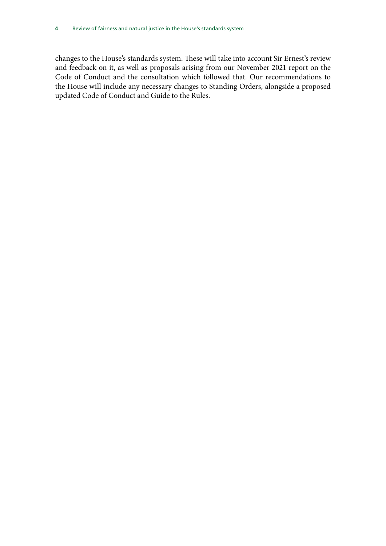changes to the House's standards system. These will take into account Sir Ernest's review and feedback on it, as well as proposals arising from our November 2021 report on the Code of Conduct and the consultation which followed that. Our recommendations to the House will include any necessary changes to Standing Orders, alongside a proposed updated Code of Conduct and Guide to the Rules.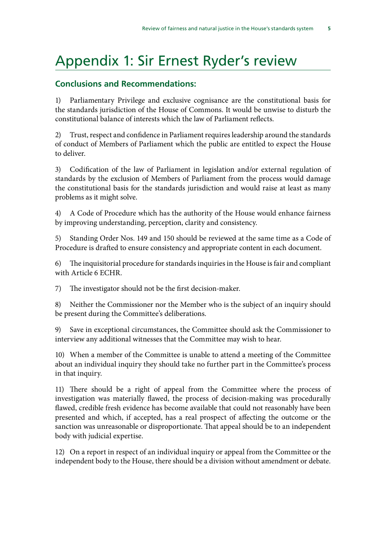# <span id="page-6-0"></span>Appendix 1: Sir Ernest Ryder's review

### **Conclusions and Recommendations:**

1) Parliamentary Privilege and exclusive cognisance are the constitutional basis for the standards jurisdiction of the House of Commons. It would be unwise to disturb the constitutional balance of interests which the law of Parliament reflects.

2) Trust, respect and confidence in Parliament requires leadership around the standards of conduct of Members of Parliament which the public are entitled to expect the House to deliver.

3) Codification of the law of Parliament in legislation and/or external regulation of standards by the exclusion of Members of Parliament from the process would damage the constitutional basis for the standards jurisdiction and would raise at least as many problems as it might solve.

4) A Code of Procedure which has the authority of the House would enhance fairness by improving understanding, perception, clarity and consistency.

5) Standing Order Nos. 149 and 150 should be reviewed at the same time as a Code of Procedure is drafted to ensure consistency and appropriate content in each document.

6) The inquisitorial procedure for standards inquiries in the House is fair and compliant with Article 6 ECHR.

7) The investigator should not be the first decision-maker.

8) Neither the Commissioner nor the Member who is the subject of an inquiry should be present during the Committee's deliberations.

9) Save in exceptional circumstances, the Committee should ask the Commissioner to interview any additional witnesses that the Committee may wish to hear.

10) When a member of the Committee is unable to attend a meeting of the Committee about an individual inquiry they should take no further part in the Committee's process in that inquiry.

11) There should be a right of appeal from the Committee where the process of investigation was materially flawed, the process of decision-making was procedurally flawed, credible fresh evidence has become available that could not reasonably have been presented and which, if accepted, has a real prospect of affecting the outcome or the sanction was unreasonable or disproportionate. That appeal should be to an independent body with judicial expertise.

12) On a report in respect of an individual inquiry or appeal from the Committee or the independent body to the House, there should be a division without amendment or debate.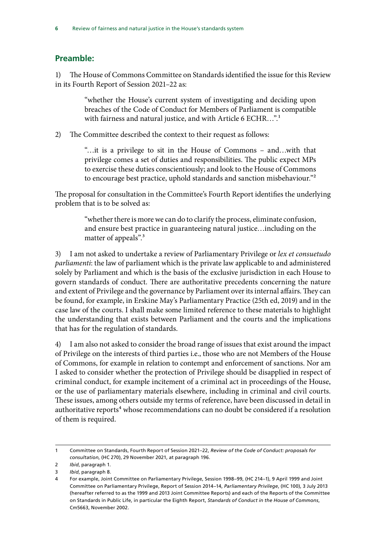### **Preamble:**

1) The House of Commons Committee on Standards identified the issue for this Review in its Fourth Report of Session 2021–22 as:

> "whether the House's current system of investigating and deciding upon breaches of the Code of Conduct for Members of Parliament is compatible with fairness and natural justice, and with Article 6 ECHR...".<sup>1</sup>

2) The Committee described the context to their request as follows:

"…it is a privilege to sit in the House of Commons – and…with that privilege comes a set of duties and responsibilities. The public expect MPs to exercise these duties conscientiously; and look to the House of Commons to encourage best practice, uphold standards and sanction misbehaviour."2

The proposal for consultation in the Committee's Fourth Report identifies the underlying problem that is to be solved as:

> "whether there is more we can do to clarify the process, eliminate confusion, and ensure best practice in guaranteeing natural justice…including on the matter of appeals".<sup>3</sup>

3) I am not asked to undertake a review of Parliamentary Privilege or *lex et consuetudo parliamenti*: the law of parliament which is the private law applicable to and administered solely by Parliament and which is the basis of the exclusive jurisdiction in each House to govern standards of conduct. There are authoritative precedents concerning the nature and extent of Privilege and the governance by Parliament over its internal affairs. They can be found, for example, in Erskine May's Parliamentary Practice (25th ed, 2019) and in the case law of the courts. I shall make some limited reference to these materials to highlight the understanding that exists between Parliament and the courts and the implications that has for the regulation of standards.

4) I am also not asked to consider the broad range of issues that exist around the impact of Privilege on the interests of third parties i.e., those who are not Members of the House of Commons, for example in relation to contempt and enforcement of sanctions. Nor am I asked to consider whether the protection of Privilege should be disapplied in respect of criminal conduct, for example incitement of a criminal act in proceedings of the House, or the use of parliamentary materials elsewhere, including in criminal and civil courts. These issues, among others outside my terms of reference, have been discussed in detail in authoritative reports<sup>4</sup> whose recommendations can no doubt be considered if a resolution of them is required.

<sup>1</sup> Committee on Standards, Fourth Report of Session 2021–22, *Review of the Code of Conduct: proposals for consultation*, (HC 270), 29 November 2021, at paragraph 196.

<sup>2</sup> *Ibid*, paragraph 1.

<sup>3</sup> *Ibid*, paragraph 8.

<sup>4</sup> For example, Joint Committee on Parliamentary Privilege, Session 1998–99, (HC 214–1), 9 April 1999 and Joint Committee on Parliamentary Privilege, Report of Session 2014–14, *Parliamentary Privilege*, (HC 100), 3 July 2013 (hereafter referred to as the 1999 and 2013 Joint Committee Reports) and each of the Reports of the Committee on Standards in Public Life, in particular the Eighth Report, *Standards of Conduct in the House of Commons*, Cm5663, November 2002.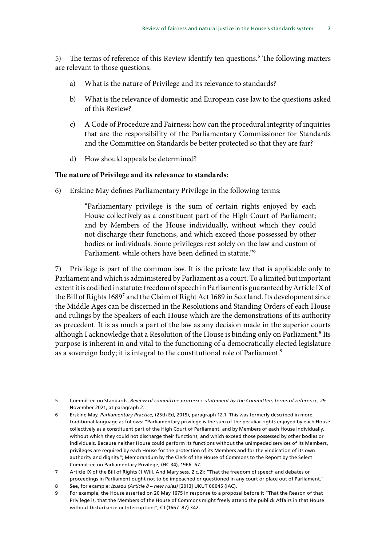5) The terms of reference of this Review identify ten questions.<sup>5</sup> The following matters are relevant to those questions:

- a) What is the nature of Privilege and its relevance to standards?
- b) What is the relevance of domestic and European case law to the questions asked of this Review?
- c) A Code of Procedure and Fairness: how can the procedural integrity of inquiries that are the responsibility of the Parliamentary Commissioner for Standards and the Committee on Standards be better protected so that they are fair?
- d) How should appeals be determined?

#### **The nature of Privilege and its relevance to standards:**

6) Erskine May defines Parliamentary Privilege in the following terms:

"Parliamentary privilege is the sum of certain rights enjoyed by each House collectively as a constituent part of the High Court of Parliament; and by Members of the House individually, without which they could not discharge their functions, and which exceed those possessed by other bodies or individuals. Some privileges rest solely on the law and custom of Parliament, while others have been defined in statute."6

7) Privilege is part of the common law. It is the private law that is applicable only to Parliament and which is administered by Parliament as a court. To a limited but important extent it is codified in statute: freedom of speech in Parliament is guaranteed by Article IX of the Bill of Rights 1689<sup>7</sup> and the Claim of Right Act 1689 in Scotland. Its development since the Middle Ages can be discerned in the Resolutions and Standing Orders of each House and rulings by the Speakers of each House which are the demonstrations of its authority as precedent. It is as much a part of the law as any decision made in the superior courts although I acknowledge that a Resolution of the House is binding only on Parliament.<sup>8</sup> Its purpose is inherent in and vital to the functioning of a democratically elected legislature as a sovereign body; it is integral to the constitutional role of Parliament.<sup>9</sup>

<sup>5</sup> Committee on Standards, *Review of committee processes: statement by the Committee, terms of reference*, 29 November 2021, at paragraph 2.

<sup>6</sup> Erskine May, *Parliamentary Practice*, (25th Ed, 2019), paragraph 12.1. This was formerly described in more traditional language as follows: "Parliamentary privilege is the sum of the peculiar rights enjoyed by each House collectively as a constituent part of the High Court of Parliament, and by Members of each House individually, without which they could not discharge their functions, and which exceed those possessed by other bodies or individuals. Because neither House could perform its functions without the unimpeded services of its Members, privileges are required by each House for the protection of its Members and for the vindication of its own authority and dignity"; Memorandum by the Clerk of the House of Commons to the Report by the Select Committee on Parliamentary Privilege, (HC 34), 1966–67.

<sup>7</sup> Article IX of the Bill of Rights (1 Will. And Mary sess. 2 c.2): "That the freedom of speech and debates or proceedings in Parliament ought not to be impeached or questioned in any court or place out of Parliament."

<sup>8</sup> See, for example: *Izuazu (Article 8 – new rules)* [2013] UKUT 00045 (IAC).

<sup>9</sup> For example, the House asserted on 20 May 1675 in response to a proposal before it "That the Reason of that Privilege is, that the Members of the House of Commons might freely attend the publick Affairs in that House without Disturbance or Interruption;", CJ (1667–87) 342.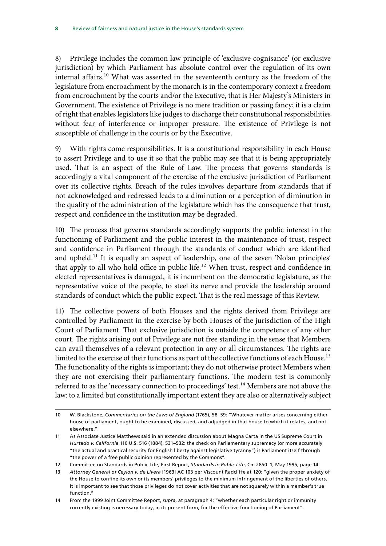8) Privilege includes the common law principle of 'exclusive cognisance' (or exclusive jurisdiction) by which Parliament has absolute control over the regulation of its own internal affairs.10 What was asserted in the seventeenth century as the freedom of the legislature from encroachment by the monarch is in the contemporary context a freedom from encroachment by the courts and/or the Executive, that is Her Majesty's Ministers in Government. The existence of Privilege is no mere tradition or passing fancy; it is a claim of right that enables legislators like judges to discharge their constitutional responsibilities without fear of interference or improper pressure. The existence of Privilege is not susceptible of challenge in the courts or by the Executive.

9) With rights come responsibilities. It is a constitutional responsibility in each House to assert Privilege and to use it so that the public may see that it is being appropriately used. That is an aspect of the Rule of Law. The process that governs standards is accordingly a vital component of the exercise of the exclusive jurisdiction of Parliament over its collective rights. Breach of the rules involves departure from standards that if not acknowledged and redressed leads to a diminution or a perception of diminution in the quality of the administration of the legislature which has the consequence that trust, respect and confidence in the institution may be degraded.

10) The process that governs standards accordingly supports the public interest in the functioning of Parliament and the public interest in the maintenance of trust, respect and confidence in Parliament through the standards of conduct which are identified and upheld.11 It is equally an aspect of leadership, one of the seven 'Nolan principles' that apply to all who hold office in public life.<sup>12</sup> When trust, respect and confidence in elected representatives is damaged, it is incumbent on the democratic legislature, as the representative voice of the people, to steel its nerve and provide the leadership around standards of conduct which the public expect. That is the real message of this Review.

11) The collective powers of both Houses and the rights derived from Privilege are controlled by Parliament in the exercise by both Houses of the jurisdiction of the High Court of Parliament. That exclusive jurisdiction is outside the competence of any other court. The rights arising out of Privilege are not free standing in the sense that Members can avail themselves of a relevant protection in any or all circumstances. The rights are limited to the exercise of their functions as part of the collective functions of each House.<sup>13</sup> The functionality of the rights is important; they do not otherwise protect Members when they are not exercising their parliamentary functions. The modern test is commonly referred to as the 'necessary connection to proceedings' test.<sup>14</sup> Members are not above the law: to a limited but constitutionally important extent they are also or alternatively subject

<sup>10</sup> W. Blackstone, *Commentaries on the Laws of England* (1765), 58–59: "Whatever matter arises concerning either house of parliament, ought to be examined, discussed, and adjudged in that house to which it relates, and not elsewhere."

<sup>11</sup> As Associate Justice Matthews said in an extended discussion about Magna Carta in the US Supreme Court in *Hurtado v. California* 110 U.S. 516 (1884), 531–532: the check on Parliamentary supremacy (or more accurately "the actual and practical security for English liberty against legislative tyranny") is Parliament itself through "the power of a free public opinion represented by the Commons".

<sup>12</sup> Committee on Standards in Public Life, First Report, *Standards in Public Life*, Cm 2850–1, May 1995, page 14.

<sup>13</sup> *Attorney General of Ceylon v. de Livera* [1963] AC 103 per Viscount Radcliffe at 120: "given the proper anxiety of the House to confine its own or its members' privileges to the minimum infringement of the liberties of others, it is important to see that those privileges do not cover activities that are not squarely within a member's true function."

<sup>14</sup> From the 1999 Joint Committee Report, *supra*, at paragraph 4: "whether each particular right or immunity currently existing is necessary today, in its present form, for the effective functioning of Parliament".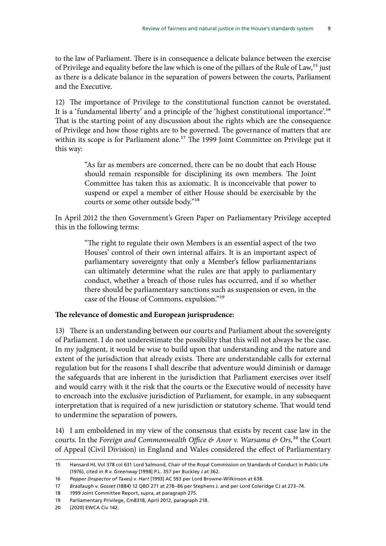to the law of Parliament. There is in consequence a delicate balance between the exercise of Privilege and equality before the law which is one of the pillars of the Rule of Law,<sup>15</sup> just as there is a delicate balance in the separation of powers between the courts, Parliament and the Executive.

12) The importance of Privilege to the constitutional function cannot be overstated. It is a 'fundamental liberty' and a principle of the 'highest constitutional importance'.16 That is the starting point of any discussion about the rights which are the consequence of Privilege and how those rights are to be governed. The governance of matters that are within its scope is for Parliament alone.<sup>17</sup> The 1999 Joint Committee on Privilege put it this way:

> "As far as members are concerned, there can be no doubt that each House should remain responsible for disciplining its own members. The Joint Committee has taken this as axiomatic. It is inconceivable that power to suspend or expel a member of either House should be exercisable by the courts or some other outside body."18

In April 2012 the then Government's Green Paper on Parliamentary Privilege accepted this in the following terms:

> "The right to regulate their own Members is an essential aspect of the two Houses' control of their own internal affairs. It is an important aspect of parliamentary sovereignty that only a Member's fellow parliamentarians can ultimately determine what the rules are that apply to parliamentary conduct, whether a breach of those rules has occurred, and if so whether there should be parliamentary sanctions such as suspension or even, in the case of the House of Commons, expulsion."19

#### **The relevance of domestic and European jurisprudence:**

13) There is an understanding between our courts and Parliament about the sovereignty of Parliament. I do not underestimate the possibility that this will not always be the case. In my judgment, it would be wise to build upon that understanding and the nature and extent of the jurisdiction that already exists. There are understandable calls for external regulation but for the reasons I shall describe that adventure would diminish or damage the safeguards that are inherent in the jurisdiction that Parliament exercises over itself and would carry with it the risk that the courts or the Executive would of necessity have to encroach into the exclusive jurisdiction of Parliament, for example, in any subsequent interpretation that is required of a new jurisdiction or statutory scheme. That would tend to undermine the separation of powers.

14) I am emboldened in my view of the consensus that exists by recent case law in the courts. In the *Foreign and Commonwealth Office & Anor v. Warsama & Ors*,<sup>20</sup> the Court of Appeal (Civil Division) in England and Wales considered the effect of Parliamentary

<sup>15</sup> Hansard HL Vol 378 col 631 Lord Salmond, Chair of the Royal Commission on Standards of Conduct in Public Life (1976), cited in *R v. Greenway* [1998] P.L. 357 per Buckley J at 362.

<sup>16</sup> *Pepper (Inspector of Taxes) v. Hart* [1993] AC 593 per Lord Browne-Wilkinson at 638.

<sup>17</sup> *Bradlaugh v. Gosset* (1884) 12 QBD 271 at 278–86 per Stephens J. and per Lord Coleridge CJ at 273–74.

<sup>18</sup> 1999 Joint Committee Report, *supra*, at paragraph 275.

<sup>19</sup> Parliamentary Privilege, Cm8318, April 2012, paragraph 218.

<sup>20</sup> [2020] EWCA Civ 142.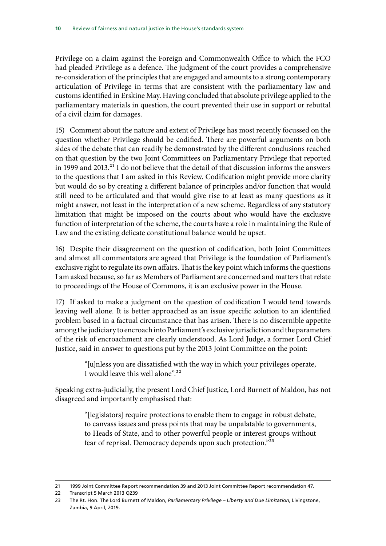Privilege on a claim against the Foreign and Commonwealth Office to which the FCO had pleaded Privilege as a defence. The judgment of the court provides a comprehensive re-consideration of the principles that are engaged and amounts to a strong contemporary articulation of Privilege in terms that are consistent with the parliamentary law and customs identified in Erskine May. Having concluded that absolute privilege applied to the parliamentary materials in question, the court prevented their use in support or rebuttal of a civil claim for damages.

15) Comment about the nature and extent of Privilege has most recently focussed on the question whether Privilege should be codified. There are powerful arguments on both sides of the debate that can readily be demonstrated by the different conclusions reached on that question by the two Joint Committees on Parliamentary Privilege that reported in 1999 and 2013.<sup>21</sup> I do not believe that the detail of that discussion informs the answers to the questions that I am asked in this Review. Codification might provide more clarity but would do so by creating a different balance of principles and/or function that would still need to be articulated and that would give rise to at least as many questions as it might answer, not least in the interpretation of a new scheme. Regardless of any statutory limitation that might be imposed on the courts about who would have the exclusive function of interpretation of the scheme, the courts have a role in maintaining the Rule of Law and the existing delicate constitutional balance would be upset.

16) Despite their disagreement on the question of codification, both Joint Committees and almost all commentators are agreed that Privilege is the foundation of Parliament's exclusive right to regulate its own affairs. That is the key point which informs the questions I am asked because, so far as Members of Parliament are concerned and matters that relate to proceedings of the House of Commons, it is an exclusive power in the House.

17) If asked to make a judgment on the question of codification I would tend towards leaving well alone. It is better approached as an issue specific solution to an identified problem based in a factual circumstance that has arisen. There is no discernible appetite among the judiciary to encroach into Parliament's exclusive jurisdiction and the parameters of the risk of encroachment are clearly understood. As Lord Judge, a former Lord Chief Justice, said in answer to questions put by the 2013 Joint Committee on the point:

> "[u]nless you are dissatisfied with the way in which your privileges operate, I would leave this well alone".22

Speaking extra-judicially, the present Lord Chief Justice, Lord Burnett of Maldon, has not disagreed and importantly emphasised that:

> "[legislators] require protections to enable them to engage in robust debate, to canvass issues and press points that may be unpalatable to governments, to Heads of State, and to other powerful people or interest groups without fear of reprisal. Democracy depends upon such protection."23

<sup>21</sup> 1999 Joint Committee Report recommendation 39 and 2013 Joint Committee Report recommendation 47.

<sup>22</sup> Transcript 5 March 2013 Q239

<sup>23</sup> The Rt. Hon. The Lord Burnett of Maldon, *Parliamentary Privilege – Liberty and Due Limitation*, Livingstone, Zambia, 9 April, 2019.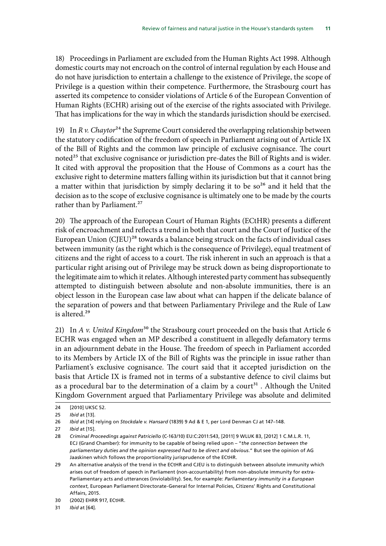18) Proceedings in Parliament are excluded from the Human Rights Act 1998. Although domestic courts may not encroach on the control of internal regulation by each House and do not have jurisdiction to entertain a challenge to the existence of Privilege, the scope of Privilege is a question within their competence. Furthermore, the Strasbourg court has asserted its competence to consider violations of Article 6 of the European Convention of Human Rights (ECHR) arising out of the exercise of the rights associated with Privilege. That has implications for the way in which the standards jurisdiction should be exercised.

19) In *R v. Chaytor*<sup>24</sup> the Supreme Court considered the overlapping relationship between the statutory codification of the freedom of speech in Parliament arising out of Article IX of the Bill of Rights and the common law principle of exclusive cognisance. The court noted<sup>25</sup> that exclusive cognisance or jurisdiction pre-dates the Bill of Rights and is wider. It cited with approval the proposition that the House of Commons as a court has the exclusive right to determine matters falling within its jurisdiction but that it cannot bring a matter within that jurisdiction by simply declaring it to be  $so<sup>26</sup>$  and it held that the decision as to the scope of exclusive cognisance is ultimately one to be made by the courts rather than by Parliament.<sup>27</sup>

20) The approach of the European Court of Human Rights (ECtHR) presents a different risk of encroachment and reflects a trend in both that court and the Court of Justice of the European Union  $(C[EU)^{28}$  towards a balance being struck on the facts of individual cases between immunity (as the right which is the consequence of Privilege), equal treatment of citizens and the right of access to a court. The risk inherent in such an approach is that a particular right arising out of Privilege may be struck down as being disproportionate to the legitimate aim to which it relates. Although interested party comment has subsequently attempted to distinguish between absolute and non-absolute immunities, there is an object lesson in the European case law about what can happen if the delicate balance of the separation of powers and that between Parliamentary Privilege and the Rule of Law is altered.<sup>29</sup>

21) In *A v. United Kingdom*<sup>30</sup> the Strasbourg court proceeded on the basis that Article 6 ECHR was engaged when an MP described a constituent in allegedly defamatory terms in an adjournment debate in the House. The freedom of speech in Parliament accorded to its Members by Article IX of the Bill of Rights was the principle in issue rather than Parliament's exclusive cognisance. The court said that it accepted jurisdiction on the basis that Article IX is framed not in terms of a substantive defence to civil claims but as a procedural bar to the determination of a claim by a court<sup>31</sup>. Although the United Kingdom Government argued that Parliamentary Privilege was absolute and delimited

<sup>24</sup> [2010] UKSC 52.

<sup>25</sup> *Ibid* at [13].

<sup>26</sup> *Ibid* at [14] relying on *Stockdale v. Hansard* (1839) 9 Ad & E 1, per Lord Denman CJ at 147–148.

<sup>27</sup> *Ibid* at [15].

<sup>28</sup> *Criminal Proceedings against Patriciello* (C-163/10) EU:C:2011:543, [2011] 9 WLUK 83, [2012] 1 C.M.L.R. 11, ECJ (Grand Chamber): for immunity to be capable of being relied upon – "*the connection between the parliamentary duties and the opinion expressed had to be direct and obvious.*" But see the opinion of AG Jaaskinen which follows the proportionality jurisprudence of the ECtHR.

<sup>29</sup> An alternative analysis of the trend in the ECtHR and CJEU is to distinguish between absolute immunity which arises out of freedom of speech in Parliament (non-accountability) from non-absolute immunity for extra-Parliamentary acts and utterances (inviolability). See, for example: *Parliamentary immunity in a European context*, European Parliament Directorate-General for Internal Policies, Citizens' Rights and Constitutional Affairs, 2015.

<sup>30</sup> (2002) EHRR 917, ECtHR.

<sup>31</sup> *Ibid* at [64].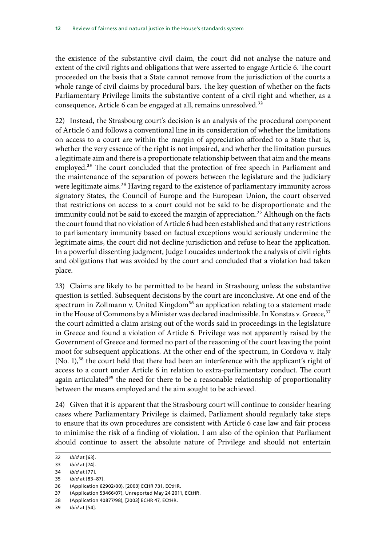the existence of the substantive civil claim, the court did not analyse the nature and extent of the civil rights and obligations that were asserted to engage Article 6. The court proceeded on the basis that a State cannot remove from the jurisdiction of the courts a whole range of civil claims by procedural bars. The key question of whether on the facts Parliamentary Privilege limits the substantive content of a civil right and whether, as a consequence, Article 6 can be engaged at all, remains unresolved.<sup>32</sup>

22) Instead, the Strasbourg court's decision is an analysis of the procedural component of Article 6 and follows a conventional line in its consideration of whether the limitations on access to a court are within the margin of appreciation afforded to a State that is, whether the very essence of the right is not impaired, and whether the limitation pursues a legitimate aim and there is a proportionate relationship between that aim and the means employed.<sup>33</sup> The court concluded that the protection of free speech in Parliament and the maintenance of the separation of powers between the legislature and the judiciary were legitimate aims.<sup>34</sup> Having regard to the existence of parliamentary immunity across signatory States, the Council of Europe and the European Union, the court observed that restrictions on access to a court could not be said to be disproportionate and the immunity could not be said to exceed the margin of appreciation.<sup>35</sup> Although on the facts the court found that no violation of Article 6 had been established and that any restrictions to parliamentary immunity based on factual exceptions would seriously undermine the legitimate aims, the court did not decline jurisdiction and refuse to hear the application. In a powerful dissenting judgment, Judge Loucaides undertook the analysis of civil rights and obligations that was avoided by the court and concluded that a violation had taken place.

23) Claims are likely to be permitted to be heard in Strasbourg unless the substantive question is settled. Subsequent decisions by the court are inconclusive. At one end of the spectrum in Zollmann v. United Kingdom<sup>36</sup> an application relating to a statement made in the House of Commons by a Minister was declared inadmissible. In Konstas v. Greece,<sup>37</sup> the court admitted a claim arising out of the words said in proceedings in the legislature in Greece and found a violation of Article 6. Privilege was not apparently raised by the Government of Greece and formed no part of the reasoning of the court leaving the point moot for subsequent applications. At the other end of the spectrum, in Cordova v. Italy  $(No. 1)$ ,<sup>38</sup> the court held that there had been an interference with the applicant's right of access to a court under Article 6 in relation to extra-parliamentary conduct. The court again articulated<sup>39</sup> the need for there to be a reasonable relationship of proportionality between the means employed and the aim sought to be achieved.

24) Given that it is apparent that the Strasbourg court will continue to consider hearing cases where Parliamentary Privilege is claimed, Parliament should regularly take steps to ensure that its own procedures are consistent with Article 6 case law and fair process to minimise the risk of a finding of violation. I am also of the opinion that Parliament should continue to assert the absolute nature of Privilege and should not entertain

39 *Ibid* at [54].

<sup>32</sup> *Ibid* at [63].

<sup>33</sup> *Ibid* at [74].

<sup>34</sup> *Ibid* at [77].

<sup>35</sup> *Ibid* at [83–87].

<sup>36</sup> (Application 62902/00), [2003] ECHR 731, ECtHR.

<sup>37</sup> (Application 53466/07), Unreported May 24 2011, ECtHR.

<sup>38</sup> (Application 40877/98), [2003] ECHR 47, ECtHR.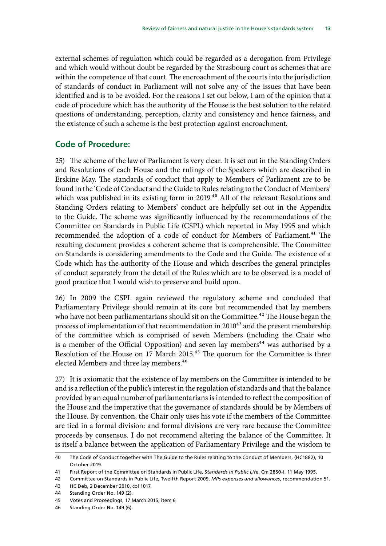external schemes of regulation which could be regarded as a derogation from Privilege and which would without doubt be regarded by the Strasbourg court as schemes that are within the competence of that court. The encroachment of the courts into the jurisdiction of standards of conduct in Parliament will not solve any of the issues that have been identified and is to be avoided. For the reasons I set out below, I am of the opinion that a code of procedure which has the authority of the House is the best solution to the related questions of understanding, perception, clarity and consistency and hence fairness, and the existence of such a scheme is the best protection against encroachment.

#### **Code of Procedure:**

25) The scheme of the law of Parliament is very clear. It is set out in the Standing Orders and Resolutions of each House and the rulings of the Speakers which are described in Erskine May. The standards of conduct that apply to Members of Parliament are to be found in the 'Code of Conduct and the Guide to Rules relating to the Conduct of Members' which was published in its existing form in 2019.<sup>40</sup> All of the relevant Resolutions and Standing Orders relating to Members' conduct are helpfully set out in the Appendix to the Guide. The scheme was significantly influenced by the recommendations of the Committee on Standards in Public Life (CSPL) which reported in May 1995 and which recommended the adoption of a code of conduct for Members of Parliament.<sup>41</sup> The resulting document provides a coherent scheme that is comprehensible. The Committee on Standards is considering amendments to the Code and the Guide. The existence of a Code which has the authority of the House and which describes the general principles of conduct separately from the detail of the Rules which are to be observed is a model of good practice that I would wish to preserve and build upon.

26) In 2009 the CSPL again reviewed the regulatory scheme and concluded that Parliamentary Privilege should remain at its core but recommended that lay members who have not been parliamentarians should sit on the Committee.<sup>42</sup> The House began the process of implementation of that recommendation in 2010<sup>43</sup> and the present membership of the committee which is comprised of seven Members (including the Chair who is a member of the Official Opposition) and seven lay members<sup>44</sup> was authorised by a Resolution of the House on 17 March 2015.<sup>45</sup> The quorum for the Committee is three elected Members and three lay members.<sup>46</sup>

27) It is axiomatic that the existence of lay members on the Committee is intended to be and is a reflection of the public's interest in the regulation of standards and that the balance provided by an equal number of parliamentarians is intended to reflect the composition of the House and the imperative that the governance of standards should be by Members of the House. By convention, the Chair only uses his vote if the members of the Committee are tied in a formal division: and formal divisions are very rare because the Committee proceeds by consensus. I do not recommend altering the balance of the Committee. It is itself a balance between the application of Parliamentary Privilege and the wisdom to

<sup>40</sup> The Code of Conduct together with The Guide to the Rules relating to the Conduct of Members, (HC1882), 10 October 2019.

<sup>41</sup> First Report of the Committee on Standards in Public Life, *Standards in Public Life*, Cm 2850-I, 11 May 1995.

<sup>42</sup> Committee on Standards in Public Life, Twelfth Report 2009, *MPs expenses and allowances*, recommendation 51.

<sup>43</sup> HC Deb, 2 December 2010, col 1017.

<sup>44</sup> Standing Order No. 149 (2).

<sup>45</sup> Votes and Proceedings, 17 March 2015, item 6

<sup>46</sup> Standing Order No. 149 (6).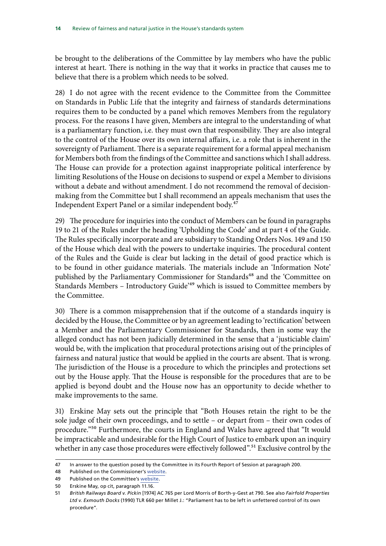be brought to the deliberations of the Committee by lay members who have the public interest at heart. There is nothing in the way that it works in practice that causes me to believe that there is a problem which needs to be solved.

28) I do not agree with the recent evidence to the Committee from the Committee on Standards in Public Life that the integrity and fairness of standards determinations requires them to be conducted by a panel which removes Members from the regulatory process. For the reasons I have given, Members are integral to the understanding of what is a parliamentary function, i.e. they must own that responsibility. They are also integral to the control of the House over its own internal affairs, i.e. a role that is inherent in the sovereignty of Parliament. There is a separate requirement for a formal appeal mechanism for Members both from the findings of the Committee and sanctions which I shall address. The House can provide for a protection against inappropriate political interference by limiting Resolutions of the House on decisions to suspend or expel a Member to divisions without a debate and without amendment. I do not recommend the removal of decisionmaking from the Committee but I shall recommend an appeals mechanism that uses the Independent Expert Panel or a similar independent body.<sup>47</sup>

29) The procedure for inquiries into the conduct of Members can be found in paragraphs 19 to 21 of the Rules under the heading 'Upholding the Code' and at part 4 of the Guide. The Rules specifically incorporate and are subsidiary to Standing Orders Nos. 149 and 150 of the House which deal with the powers to undertake inquiries. The procedural content of the Rules and the Guide is clear but lacking in the detail of good practice which is to be found in other guidance materials. The materials include an 'Information Note' published by the Parliamentary Commissioner for Standards<sup>48</sup> and the 'Committee on Standards Members – Introductory Guide'49 which is issued to Committee members by the Committee.

30) There is a common misapprehension that if the outcome of a standards inquiry is decided by the House, the Committee or by an agreement leading to 'rectification' between a Member and the Parliamentary Commissioner for Standards, then in some way the alleged conduct has not been judicially determined in the sense that a 'justiciable claim' would be, with the implication that procedural protections arising out of the principles of fairness and natural justice that would be applied in the courts are absent. That is wrong. The jurisdiction of the House is a procedure to which the principles and protections set out by the House apply. That the House is responsible for the procedures that are to be applied is beyond doubt and the House now has an opportunity to decide whether to make improvements to the same.

31) Erskine May sets out the principle that "Both Houses retain the right to be the sole judge of their own proceedings, and to settle – or depart from – their own codes of procedure."<sup>50</sup> Furthermore, the courts in England and Wales have agreed that "It would be impracticable and undesirable for the High Court of Justice to embark upon an inquiry whether in any case those procedures were effectively followed".<sup>51</sup> Exclusive control by the

<sup>47</sup> In answer to the question posed by the Committee in its Fourth Report of Session at paragraph 200.

<sup>48</sup> Published on the Commissioner's [website](https://www.parliament.uk/globalassets/documents/pcfs/pcs-information-note.pdf).

<sup>49</sup> Published on the Committee's [website.](https://committees.parliament.uk/committee/290/committee-on-standards/publications/8/scrutiny-evidence/)

<sup>50</sup> Erskine May, op cit, paragraph 11.16.

<sup>51</sup> *British Railways Board v. Pickin* [1974] AC 765 per Lord Morris of Borth-y-Gest at 790. See also *Fairfold Properties Ltd v. Exmouth Docks* (1990) TLR 660 per Millet J.: "Parliament has to be left in unfettered control of its own procedure".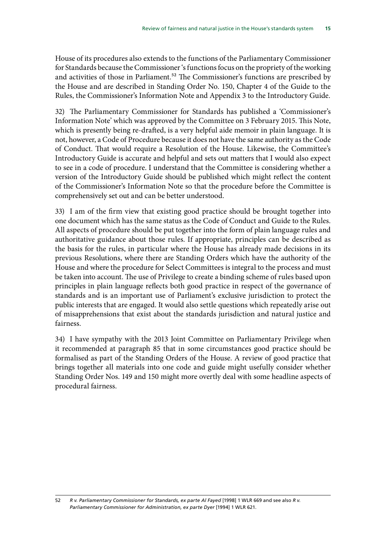House of its procedures also extends to the functions of the Parliamentary Commissioner for Standards because the Commissioner 's functions focus on the propriety of the working and activities of those in Parliament.<sup>52</sup> The Commissioner's functions are prescribed by the House and are described in Standing Order No. 150, Chapter 4 of the Guide to the Rules, the Commissioner's Information Note and Appendix 3 to the Introductory Guide.

32) The Parliamentary Commissioner for Standards has published a 'Commissioner's Information Note' which was approved by the Committee on 3 February 2015. This Note, which is presently being re-drafted, is a very helpful aide memoir in plain language. It is not, however, a Code of Procedure because it does not have the same authority as the Code of Conduct. That would require a Resolution of the House. Likewise, the Committee's Introductory Guide is accurate and helpful and sets out matters that I would also expect to see in a code of procedure. I understand that the Committee is considering whether a version of the Introductory Guide should be published which might reflect the content of the Commissioner's Information Note so that the procedure before the Committee is comprehensively set out and can be better understood.

33) I am of the firm view that existing good practice should be brought together into one document which has the same status as the Code of Conduct and Guide to the Rules. All aspects of procedure should be put together into the form of plain language rules and authoritative guidance about those rules. If appropriate, principles can be described as the basis for the rules, in particular where the House has already made decisions in its previous Resolutions, where there are Standing Orders which have the authority of the House and where the procedure for Select Committees is integral to the process and must be taken into account. The use of Privilege to create a binding scheme of rules based upon principles in plain language reflects both good practice in respect of the governance of standards and is an important use of Parliament's exclusive jurisdiction to protect the public interests that are engaged. It would also settle questions which repeatedly arise out of misapprehensions that exist about the standards jurisdiction and natural justice and fairness.

34) I have sympathy with the 2013 Joint Committee on Parliamentary Privilege when it recommended at paragraph 85 that in some circumstances good practice should be formalised as part of the Standing Orders of the House. A review of good practice that brings together all materials into one code and guide might usefully consider whether Standing Order Nos. 149 and 150 might more overtly deal with some headline aspects of procedural fairness.

<sup>52</sup> *R v. Parliamentary Commissioner for Standards, ex parte Al Fayed* [1998] 1 WLR 669 and see also *R v. Parliamentary Commissioner for Administration, ex parte Dyer* [1994] 1 WLR 621.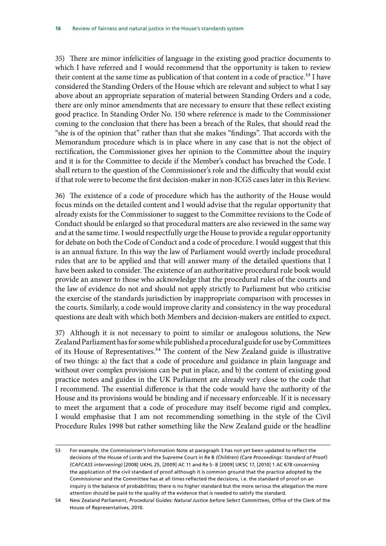35) There are minor infelicities of language in the existing good practice documents to which I have referred and I would recommend that the opportunity is taken to review their content at the same time as publication of that content in a code of practice.<sup>53</sup> I have considered the Standing Orders of the House which are relevant and subject to what I say above about an appropriate separation of material between Standing Orders and a code, there are only minor amendments that are necessary to ensure that these reflect existing good practice. In Standing Order No. 150 where reference is made to the Commissioner coming to the conclusion that there has been a breach of the Rules, that should read the "she is of the opinion that" rather than that she makes "findings". That accords with the Memorandum procedure which is in place where in any case that is not the object of rectification, the Commissioner gives her opinion to the Committee about the inquiry and it is for the Committee to decide if the Member's conduct has breached the Code. I shall return to the question of the Commissioner's role and the difficulty that would exist if that role were to become the first decision-maker in non-ICGS cases later in this Review.

36) The existence of a code of procedure which has the authority of the House would focus minds on the detailed content and I would advise that the regular opportunity that already exists for the Commissioner to suggest to the Committee revisions to the Code of Conduct should be enlarged so that procedural matters are also reviewed in the same way and at the same time. I would respectfully urge the House to provide a regular opportunity for debate on both the Code of Conduct and a code of procedure. I would suggest that this is an annual fixture. In this way the law of Parliament would overtly include procedural rules that are to be applied and that will answer many of the detailed questions that I have been asked to consider. The existence of an authoritative procedural rule book would provide an answer to those who acknowledge that the procedural rules of the courts and the law of evidence do not and should not apply strictly to Parliament but who criticise the exercise of the standards jurisdiction by inappropriate comparison with processes in the courts. Similarly, a code would improve clarity and consistency in the way procedural questions are dealt with which both Members and decision-makers are entitled to expect.

37) Although it is not necessary to point to similar or analogous solutions, the New Zealand Parliament has for some while published a procedural guide for use by Committees of its House of Representatives.<sup>54</sup> The content of the New Zealand guide is illustrative of two things: a) the fact that a code of procedure and guidance in plain language and without over complex provisions can be put in place, and b) the content of existing good practice notes and guides in the UK Parliament are already very close to the code that I recommend. The essential difference is that the code would have the authority of the House and its provisions would be binding and if necessary enforceable. If it is necessary to meet the argument that a code of procedure may itself become rigid and complex, I would emphasise that I am not recommending something in the style of the Civil Procedure Rules 1998 but rather something like the New Zealand guide or the headline

<sup>53</sup> For example, the Commissioner's Information Note at paragraph 3 has not yet been updated to reflect the decisions of the House of Lords and the Supreme Court in Re B *(Children) (Care Proceedings: Standard of Proof) (CAFCASS intervening)* [2008] UKHL 25, [2009] AC 11 and Re S- B [2009] UKSC 17, [2010] 1 AC 678 concerning the application of the civil standard of proof although it is common ground that the practice adopted by the Commissioner and the Committee has at all times reflected the decisions, i.e. the standard of proof on an inquiry is the balance of probabilities; there is no higher standard but the more serious the allegation the more attention should be paid to the quality of the evidence that is needed to satisfy the standard.

<sup>54</sup> New Zealand Parliament, *Procedural Guides: Natural Justice before Select Committees*, Office of the Clerk of the House of Representatives, 2010.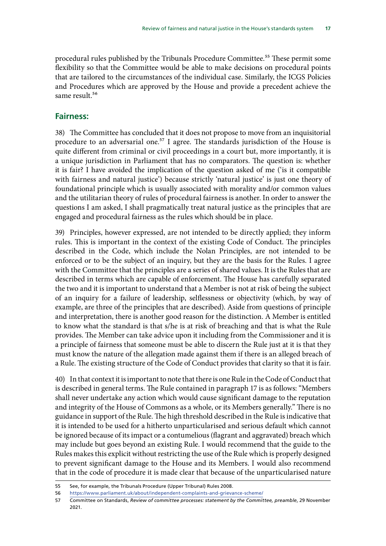procedural rules published by the Tribunals Procedure Committee.<sup>55</sup> These permit some flexibility so that the Committee would be able to make decisions on procedural points that are tailored to the circumstances of the individual case. Similarly, the ICGS Policies and Procedures which are approved by the House and provide a precedent achieve the same result.<sup>56</sup>

#### **Fairness:**

38) The Committee has concluded that it does not propose to move from an inquisitorial procedure to an adversarial one.<sup>57</sup> I agree. The standards jurisdiction of the House is quite different from criminal or civil proceedings in a court but, more importantly, it is a unique jurisdiction in Parliament that has no comparators. The question is: whether it is fair? I have avoided the implication of the question asked of me ('is it compatible with fairness and natural justice') because strictly 'natural justice' is just one theory of foundational principle which is usually associated with morality and/or common values and the utilitarian theory of rules of procedural fairness is another. In order to answer the questions I am asked, I shall pragmatically treat natural justice as the principles that are engaged and procedural fairness as the rules which should be in place.

39) Principles, however expressed, are not intended to be directly applied; they inform rules. This is important in the context of the existing Code of Conduct. The principles described in the Code, which include the Nolan Principles, are not intended to be enforced or to be the subject of an inquiry, but they are the basis for the Rules. I agree with the Committee that the principles are a series of shared values. It is the Rules that are described in terms which are capable of enforcement. The House has carefully separated the two and it is important to understand that a Member is not at risk of being the subject of an inquiry for a failure of leadership, selflessness or objectivity (which, by way of example, are three of the principles that are described). Aside from questions of principle and interpretation, there is another good reason for the distinction. A Member is entitled to know what the standard is that s/he is at risk of breaching and that is what the Rule provides. The Member can take advice upon it including from the Commissioner and it is a principle of fairness that someone must be able to discern the Rule just at it is that they must know the nature of the allegation made against them if there is an alleged breach of a Rule. The existing structure of the Code of Conduct provides that clarity so that it is fair.

40) In that context it is important to note that there is one Rule in the Code of Conduct that is described in general terms. The Rule contained in paragraph 17 is as follows: "Members shall never undertake any action which would cause significant damage to the reputation and integrity of the House of Commons as a whole, or its Members generally." There is no guidance in support of the Rule. The high threshold described in the Rule is indicative that it is intended to be used for a hitherto unparticularised and serious default which cannot be ignored because of its impact or a contumelious (flagrant and aggravated) breach which may include but goes beyond an existing Rule. I would recommend that the guide to the Rules makes this explicit without restricting the use of the Rule which is properly designed to prevent significant damage to the House and its Members. I would also recommend that in the code of procedure it is made clear that because of the unparticularised nature

<sup>55</sup> See, for example, the Tribunals Procedure (Upper Tribunal) Rules 2008.

<sup>56</sup> <https://www.parliament.uk/about/independent-complaints-and-grievance-scheme/>

<sup>57</sup> Committee on Standards, *Review of committee processes: statement by the Committee, preamble*, 29 November 2021.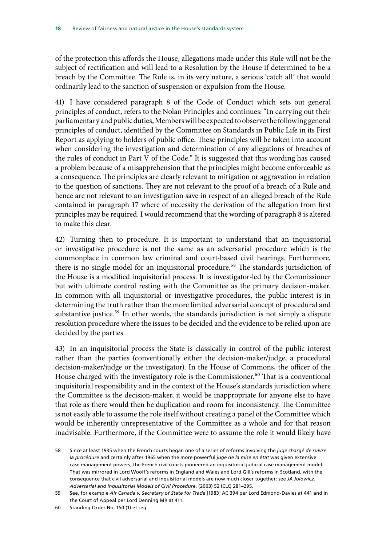of the protection this affords the House, allegations made under this Rule will not be the subject of rectification and will lead to a Resolution by the House if determined to be a breach by the Committee. The Rule is, in its very nature, a serious 'catch all' that would ordinarily lead to the sanction of suspension or expulsion from the House.

41) I have considered paragraph 8 of the Code of Conduct which sets out general principles of conduct, refers to the Nolan Principles and continues: "In carrying out their parliamentary and public duties, Members will be expected to observe the following general principles of conduct, identified by the Committee on Standards in Public Life in its First Report as applying to holders of public office. These principles will be taken into account when considering the investigation and determination of any allegations of breaches of the rules of conduct in Part V of the Code." It is suggested that this wording has caused a problem because of a misapprehension that the principles might become enforceable as a consequence. The principles are clearly relevant to mitigation or aggravation in relation to the question of sanctions. They are not relevant to the proof of a breach of a Rule and hence are not relevant to an investigation save in respect of an alleged breach of the Rule contained in paragraph 17 where of necessity the derivation of the allegation from first principles may be required. I would recommend that the wording of paragraph 8 is altered to make this clear.

42) Turning then to procedure. It is important to understand that an inquisitorial or investigative procedure is not the same as an adversarial procedure which is the commonplace in common law criminal and court-based civil hearings. Furthermore, there is no single model for an inquisitorial procedure.<sup>58</sup> The standards jurisdiction of the House is a modified inquisitorial process. It is investigator-led by the Commissioner but with ultimate control resting with the Committee as the primary decision-maker. In common with all inquisitorial or investigative procedures, the public interest is in determining the truth rather than the more limited adversarial concept of procedural and substantive justice.<sup>59</sup> In other words, the standards jurisdiction is not simply a dispute resolution procedure where the issues to be decided and the evidence to be relied upon are decided by the parties.

43) In an inquisitorial process the State is classically in control of the public interest rather than the parties (conventionally either the decision-maker/judge, a procedural decision-maker/judge or the investigator). In the House of Commons, the officer of the House charged with the investigatory role is the Commissioner.<sup>60</sup> That is a conventional inquisitorial responsibility and in the context of the House's standards jurisdiction where the Committee is the decision-maker, it would be inappropriate for anyone else to have that role as there would then be duplication and room for inconsistency. The Committee is not easily able to assume the role itself without creating a panel of the Committee which would be inherently unrepresentative of the Committee as a whole and for that reason inadvisable. Furthermore, if the Committee were to assume the role it would likely have

<sup>58</sup> Since at least 1935 when the French courts began one of a series of reforms involving the *juge chargé de suivre la procédure* and certainly after 1965 when the more powerful *juge de la mise en état* was given extensive case management powers, the French civil courts pioneered an inquisitorial judicial case management model. That was mirrored in Lord Woolf's reforms in England and Wales and Lord Gill's reforms in Scotland, with the consequence that civil adversarial and inquisitorial models are now much closer together: see *JA Jolowicz, Adversarial and Inquisitorial Models of Civil Procedure*, (2003) 52 ICLQ 281–295.

<sup>59</sup> See, for example *Air Canada v. Secretary of State for Trade* [1983] AC 394 per Lord Edmond-Davies at 441 and in the Court of Appeal per Lord Denning MR at 411.

<sup>60</sup> Standing Order No. 150 (1) et seq.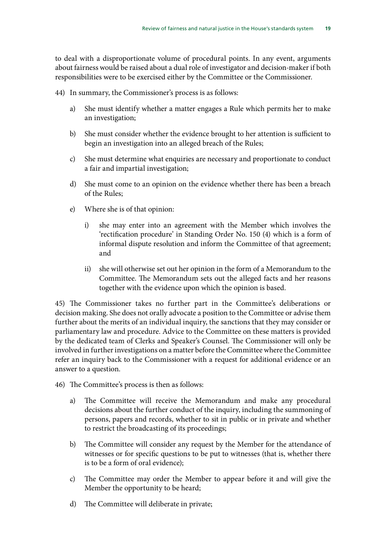to deal with a disproportionate volume of procedural points. In any event, arguments about fairness would be raised about a dual role of investigator and decision-maker if both responsibilities were to be exercised either by the Committee or the Commissioner.

44) In summary, the Commissioner's process is as follows:

- a) She must identify whether a matter engages a Rule which permits her to make an investigation;
- b) She must consider whether the evidence brought to her attention is sufficient to begin an investigation into an alleged breach of the Rules;
- c) She must determine what enquiries are necessary and proportionate to conduct a fair and impartial investigation;
- d) She must come to an opinion on the evidence whether there has been a breach of the Rules;
- e) Where she is of that opinion:
	- i) she may enter into an agreement with the Member which involves the 'rectification procedure' in Standing Order No. 150 (4) which is a form of informal dispute resolution and inform the Committee of that agreement; and
	- ii) she will otherwise set out her opinion in the form of a Memorandum to the Committee. The Memorandum sets out the alleged facts and her reasons together with the evidence upon which the opinion is based.

45) The Commissioner takes no further part in the Committee's deliberations or decision making. She does not orally advocate a position to the Committee or advise them further about the merits of an individual inquiry, the sanctions that they may consider or parliamentary law and procedure. Advice to the Committee on these matters is provided by the dedicated team of Clerks and Speaker's Counsel. The Commissioner will only be involved in further investigations on a matter before the Committee where the Committee refer an inquiry back to the Commissioner with a request for additional evidence or an answer to a question.

- 46) The Committee's process is then as follows:
	- a) The Committee will receive the Memorandum and make any procedural decisions about the further conduct of the inquiry, including the summoning of persons, papers and records, whether to sit in public or in private and whether to restrict the broadcasting of its proceedings;
	- b) The Committee will consider any request by the Member for the attendance of witnesses or for specific questions to be put to witnesses (that is, whether there is to be a form of oral evidence);
	- c) The Committee may order the Member to appear before it and will give the Member the opportunity to be heard;
	- d) The Committee will deliberate in private;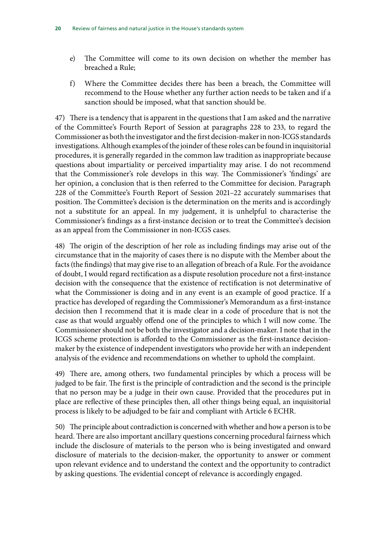- e) The Committee will come to its own decision on whether the member has breached a Rule;
- f) Where the Committee decides there has been a breach, the Committee will recommend to the House whether any further action needs to be taken and if a sanction should be imposed, what that sanction should be.

47) There is a tendency that is apparent in the questions that I am asked and the narrative of the Committee's Fourth Report of Session at paragraphs 228 to 233, to regard the Commissioner as both the investigator and the first decision-maker in non-ICGS standards investigations. Although examples of the joinder of these roles can be found in inquisitorial procedures, it is generally regarded in the common law tradition as inappropriate because questions about impartiality or perceived impartiality may arise. I do not recommend that the Commissioner's role develops in this way. The Commissioner's 'findings' are her opinion, a conclusion that is then referred to the Committee for decision. Paragraph 228 of the Committee's Fourth Report of Session 2021–22 accurately summarises that position. The Committee's decision is the determination on the merits and is accordingly not a substitute for an appeal. In my judgement, it is unhelpful to characterise the Commissioner's findings as a first-instance decision or to treat the Committee's decision as an appeal from the Commissioner in non-ICGS cases.

48) The origin of the description of her role as including findings may arise out of the circumstance that in the majority of cases there is no dispute with the Member about the facts (the findings) that may give rise to an allegation of breach of a Rule. For the avoidance of doubt, I would regard rectification as a dispute resolution procedure not a first-instance decision with the consequence that the existence of rectification is not determinative of what the Commissioner is doing and in any event is an example of good practice. If a practice has developed of regarding the Commissioner's Memorandum as a first-instance decision then I recommend that it is made clear in a code of procedure that is not the case as that would arguably offend one of the principles to which I will now come. The Commissioner should not be both the investigator and a decision-maker. I note that in the ICGS scheme protection is afforded to the Commissioner as the first-instance decisionmaker by the existence of independent investigators who provide her with an independent analysis of the evidence and recommendations on whether to uphold the complaint.

49) There are, among others, two fundamental principles by which a process will be judged to be fair. The first is the principle of contradiction and the second is the principle that no person may be a judge in their own cause. Provided that the procedures put in place are reflective of these principles then, all other things being equal, an inquisitorial process is likely to be adjudged to be fair and compliant with Article 6 ECHR.

50) The principle about contradiction is concerned with whether and how a person is to be heard. There are also important ancillary questions concerning procedural fairness which include the disclosure of materials to the person who is being investigated and onward disclosure of materials to the decision-maker, the opportunity to answer or comment upon relevant evidence and to understand the context and the opportunity to contradict by asking questions. The evidential concept of relevance is accordingly engaged.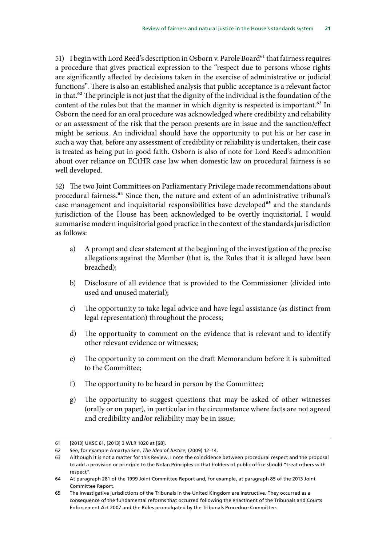51) I begin with Lord Reed's description in Osborn v. Parole Board<sup>61</sup> that fairness requires a procedure that gives practical expression to the "respect due to persons whose rights are significantly affected by decisions taken in the exercise of administrative or judicial functions". There is also an established analysis that public acceptance is a relevant factor in that.62 The principle is not just that the dignity of the individual is the foundation of the content of the rules but that the manner in which dignity is respected is important.<sup>63</sup> In Osborn the need for an oral procedure was acknowledged where credibility and reliability or an assessment of the risk that the person presents are in issue and the sanction/effect might be serious. An individual should have the opportunity to put his or her case in such a way that, before any assessment of credibility or reliability is undertaken, their case is treated as being put in good faith. Osborn is also of note for Lord Reed's admonition about over reliance on ECtHR case law when domestic law on procedural fairness is so well developed.

52) The two Joint Committees on Parliamentary Privilege made recommendations about procedural fairness.64 Since then, the nature and extent of an administrative tribunal's case management and inquisitorial responsibilities have developed<sup>65</sup> and the standards jurisdiction of the House has been acknowledged to be overtly inquisitorial. I would summarise modern inquisitorial good practice in the context of the standards jurisdiction as follows:

- a) A prompt and clear statement at the beginning of the investigation of the precise allegations against the Member (that is, the Rules that it is alleged have been breached);
- b) Disclosure of all evidence that is provided to the Commissioner (divided into used and unused material);
- c) The opportunity to take legal advice and have legal assistance (as distinct from legal representation) throughout the process;
- d) The opportunity to comment on the evidence that is relevant and to identify other relevant evidence or witnesses;
- e) The opportunity to comment on the draft Memorandum before it is submitted to the Committee;
- f) The opportunity to be heard in person by the Committee;
- g) The opportunity to suggest questions that may be asked of other witnesses (orally or on paper), in particular in the circumstance where facts are not agreed and credibility and/or reliability may be in issue;

<sup>61</sup> [2013] UKSC 61, [2013] 3 WLR 1020 at [68].

<sup>62</sup> See, for example Amartya Sen, *The Idea of Justice*, (2009) 12–14.

<sup>63</sup> Although it is not a matter for this Review, I note the coincidence between procedural respect and the proposal to add a provision or principle to the Nolan Principles so that holders of public office should "treat others with respect".

<sup>64</sup> At paragraph 281 of the 1999 Joint Committee Report and, for example, at paragraph 85 of the 2013 Joint Committee Report.

<sup>65</sup> The investigative jurisdictions of the Tribunals in the United Kingdom are instructive. They occurred as a consequence of the fundamental reforms that occurred following the enactment of the Tribunals and Courts Enforcement Act 2007 and the Rules promulgated by the Tribunals Procedure Committee.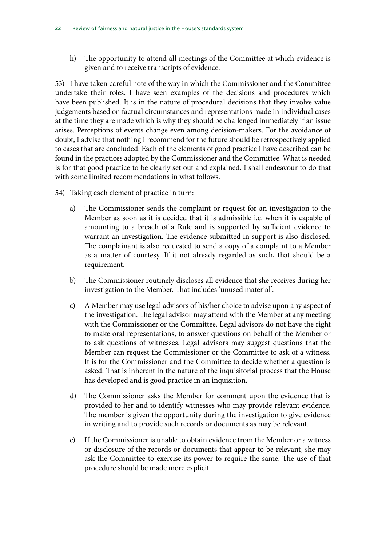h) The opportunity to attend all meetings of the Committee at which evidence is given and to receive transcripts of evidence.

53) I have taken careful note of the way in which the Commissioner and the Committee undertake their roles. I have seen examples of the decisions and procedures which have been published. It is in the nature of procedural decisions that they involve value judgements based on factual circumstances and representations made in individual cases at the time they are made which is why they should be challenged immediately if an issue arises. Perceptions of events change even among decision-makers. For the avoidance of doubt, I advise that nothing I recommend for the future should be retrospectively applied to cases that are concluded. Each of the elements of good practice I have described can be found in the practices adopted by the Commissioner and the Committee. What is needed is for that good practice to be clearly set out and explained. I shall endeavour to do that with some limited recommendations in what follows.

- 54) Taking each element of practice in turn:
	- a) The Commissioner sends the complaint or request for an investigation to the Member as soon as it is decided that it is admissible i.e. when it is capable of amounting to a breach of a Rule and is supported by sufficient evidence to warrant an investigation. The evidence submitted in support is also disclosed. The complainant is also requested to send a copy of a complaint to a Member as a matter of courtesy. If it not already regarded as such, that should be a requirement.
	- b) The Commissioner routinely discloses all evidence that she receives during her investigation to the Member. That includes 'unused material'.
	- c) A Member may use legal advisors of his/her choice to advise upon any aspect of the investigation. The legal advisor may attend with the Member at any meeting with the Commissioner or the Committee. Legal advisors do not have the right to make oral representations, to answer questions on behalf of the Member or to ask questions of witnesses. Legal advisors may suggest questions that the Member can request the Commissioner or the Committee to ask of a witness. It is for the Commissioner and the Committee to decide whether a question is asked. That is inherent in the nature of the inquisitorial process that the House has developed and is good practice in an inquisition.
	- d) The Commissioner asks the Member for comment upon the evidence that is provided to her and to identify witnesses who may provide relevant evidence. The member is given the opportunity during the investigation to give evidence in writing and to provide such records or documents as may be relevant.
	- e) If the Commissioner is unable to obtain evidence from the Member or a witness or disclosure of the records or documents that appear to be relevant, she may ask the Committee to exercise its power to require the same. The use of that procedure should be made more explicit.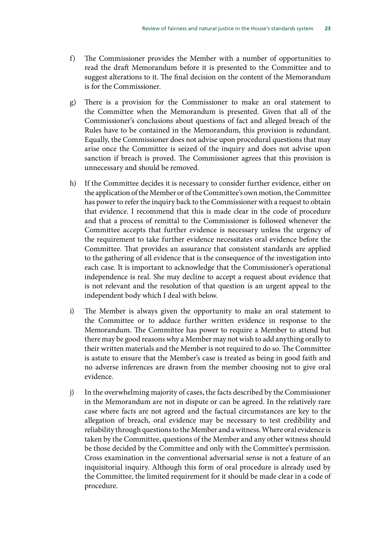- f) The Commissioner provides the Member with a number of opportunities to read the draft Memorandum before it is presented to the Committee and to suggest alterations to it. The final decision on the content of the Memorandum is for the Commissioner.
- g) There is a provision for the Commissioner to make an oral statement to the Committee when the Memorandum is presented. Given that all of the Commissioner's conclusions about questions of fact and alleged breach of the Rules have to be contained in the Memorandum, this provision is redundant. Equally, the Commissioner does not advise upon procedural questions that may arise once the Committee is seized of the inquiry and does not advise upon sanction if breach is proved. The Commissioner agrees that this provision is unnecessary and should be removed.
- h) If the Committee decides it is necessary to consider further evidence, either on the application of the Member or of the Committee's own motion, the Committee has power to refer the inquiry back to the Commissioner with a request to obtain that evidence. I recommend that this is made clear in the code of procedure and that a process of remittal to the Commissioner is followed whenever the Committee accepts that further evidence is necessary unless the urgency of the requirement to take further evidence necessitates oral evidence before the Committee. That provides an assurance that consistent standards are applied to the gathering of all evidence that is the consequence of the investigation into each case. It is important to acknowledge that the Commissioner's operational independence is real. She may decline to accept a request about evidence that is not relevant and the resolution of that question is an urgent appeal to the independent body which I deal with below.
- i) The Member is always given the opportunity to make an oral statement to the Committee or to adduce further written evidence in response to the Memorandum. The Committee has power to require a Member to attend but there may be good reasons why a Member may not wish to add anything orally to their written materials and the Member is not required to do so. The Committee is astute to ensure that the Member's case is treated as being in good faith and no adverse inferences are drawn from the member choosing not to give oral evidence.
- j) In the overwhelming majority of cases, the facts described by the Commissioner in the Memorandum are not in dispute or can be agreed. In the relatively rare case where facts are not agreed and the factual circumstances are key to the allegation of breach, oral evidence may be necessary to test credibility and reliability through questions to the Member and a witness. Where oral evidence is taken by the Committee, questions of the Member and any other witness should be those decided by the Committee and only with the Committee's permission. Cross examination in the conventional adversarial sense is not a feature of an inquisitorial inquiry. Although this form of oral procedure is already used by the Committee, the limited requirement for it should be made clear in a code of procedure.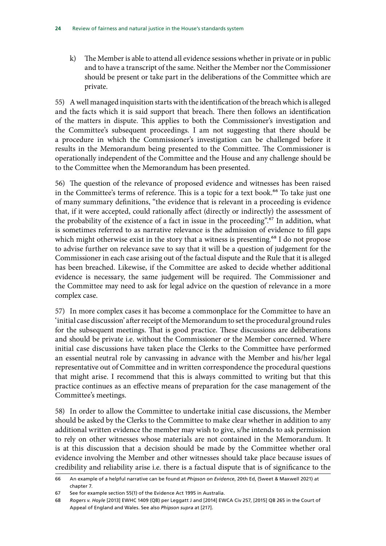k) The Member is able to attend all evidence sessions whether in private or in public and to have a transcript of the same. Neither the Member nor the Commissioner should be present or take part in the deliberations of the Committee which are private.

55) A well managed inquisition starts with the identification of the breach which is alleged and the facts which it is said support that breach. There then follows an identification of the matters in dispute. This applies to both the Commissioner's investigation and the Committee's subsequent proceedings. I am not suggesting that there should be a procedure in which the Commissioner's investigation can be challenged before it results in the Memorandum being presented to the Committee. The Commissioner is operationally independent of the Committee and the House and any challenge should be to the Committee when the Memorandum has been presented.

56) The question of the relevance of proposed evidence and witnesses has been raised in the Committee's terms of reference. This is a topic for a text book.<sup>66</sup> To take just one of many summary definitions, "the evidence that is relevant in a proceeding is evidence that, if it were accepted, could rationally affect (directly or indirectly) the assessment of the probability of the existence of a fact in issue in the proceeding".67 In addition, what is sometimes referred to as narrative relevance is the admission of evidence to fill gaps which might otherwise exist in the story that a witness is presenting.<sup>68</sup> I do not propose to advise further on relevance save to say that it will be a question of judgement for the Commissioner in each case arising out of the factual dispute and the Rule that it is alleged has been breached. Likewise, if the Committee are asked to decide whether additional evidence is necessary, the same judgement will be required. The Commissioner and the Committee may need to ask for legal advice on the question of relevance in a more complex case.

57) In more complex cases it has become a commonplace for the Committee to have an 'initial case discussion' after receipt of the Memorandum to set the procedural ground rules for the subsequent meetings. That is good practice. These discussions are deliberations and should be private i.e. without the Commissioner or the Member concerned. Where initial case discussions have taken place the Clerks to the Committee have performed an essential neutral role by canvassing in advance with the Member and his/her legal representative out of Committee and in written correspondence the procedural questions that might arise. I recommend that this is always committed to writing but that this practice continues as an effective means of preparation for the case management of the Committee's meetings.

58) In order to allow the Committee to undertake initial case discussions, the Member should be asked by the Clerks to the Committee to make clear whether in addition to any additional written evidence the member may wish to give, s/he intends to ask permission to rely on other witnesses whose materials are not contained in the Memorandum. It is at this discussion that a decision should be made by the Committee whether oral evidence involving the Member and other witnesses should take place because issues of credibility and reliability arise i.e. there is a factual dispute that is of significance to the

<sup>66</sup> An example of a helpful narrative can be found at *Phipson on Evidence*, 20th Ed, (Sweet & Maxwell 2021) at chapter 7.

<sup>67</sup> See for example section 55(1) of the Evidence Act 1995 in Australia.

<sup>68</sup> *Rogers v. Hoyle* [2013] EWHC 1409 (QB) per Leggatt J and [2014] EWCA Civ 257, [2015] QB 265 in the Court of Appeal of England and Wales. See also *Phipson supra* at [217].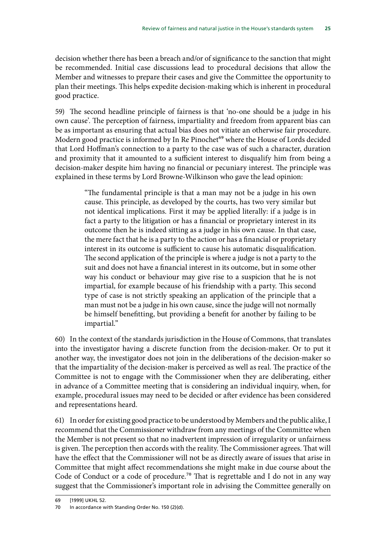decision whether there has been a breach and/or of significance to the sanction that might be recommended. Initial case discussions lead to procedural decisions that allow the Member and witnesses to prepare their cases and give the Committee the opportunity to plan their meetings. This helps expedite decision-making which is inherent in procedural good practice.

59) The second headline principle of fairness is that 'no-one should be a judge in his own cause'. The perception of fairness, impartiality and freedom from apparent bias can be as important as ensuring that actual bias does not vitiate an otherwise fair procedure. Modern good practice is informed by In Re Pinochet<sup>69</sup> where the House of Lords decided that Lord Hoffman's connection to a party to the case was of such a character, duration and proximity that it amounted to a sufficient interest to disqualify him from being a decision-maker despite him having no financial or pecuniary interest. The principle was explained in these terms by Lord Browne-Wilkinson who gave the lead opinion:

> "The fundamental principle is that a man may not be a judge in his own cause. This principle, as developed by the courts, has two very similar but not identical implications. First it may be applied literally: if a judge is in fact a party to the litigation or has a financial or proprietary interest in its outcome then he is indeed sitting as a judge in his own cause. In that case, the mere fact that he is a party to the action or has a financial or proprietary interest in its outcome is sufficient to cause his automatic disqualification. The second application of the principle is where a judge is not a party to the suit and does not have a financial interest in its outcome, but in some other way his conduct or behaviour may give rise to a suspicion that he is not impartial, for example because of his friendship with a party. This second type of case is not strictly speaking an application of the principle that a man must not be a judge in his own cause, since the judge will not normally be himself benefitting, but providing a benefit for another by failing to be impartial."

60) In the context of the standards jurisdiction in the House of Commons, that translates into the investigator having a discrete function from the decision-maker. Or to put it another way, the investigator does not join in the deliberations of the decision-maker so that the impartiality of the decision-maker is perceived as well as real. The practice of the Committee is not to engage with the Commissioner when they are deliberating, either in advance of a Committee meeting that is considering an individual inquiry, when, for example, procedural issues may need to be decided or after evidence has been considered and representations heard.

61) In order for existing good practice to be understood by Members and the public alike, I recommend that the Commissioner withdraw from any meetings of the Committee when the Member is not present so that no inadvertent impression of irregularity or unfairness is given. The perception then accords with the reality. The Commissioner agrees. That will have the effect that the Commissioner will not be as directly aware of issues that arise in Committee that might affect recommendations she might make in due course about the Code of Conduct or a code of procedure.<sup>70</sup> That is regrettable and I do not in any way suggest that the Commissioner's important role in advising the Committee generally on

<sup>69</sup> [1999] UKHL 52.

<sup>70</sup> In accordance with Standing Order No. 150 (2)(d).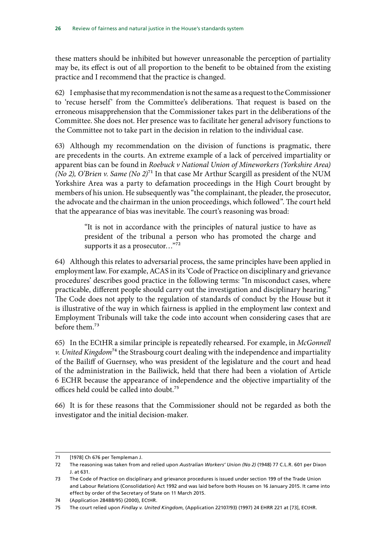these matters should be inhibited but however unreasonable the perception of partiality may be, its effect is out of all proportion to the benefit to be obtained from the existing practice and I recommend that the practice is changed.

62) I emphasise that my recommendation is not the same as a request to the Commissioner to 'recuse herself' from the Committee's deliberations. That request is based on the erroneous misapprehension that the Commissioner takes part in the deliberations of the Committee. She does not. Her presence was to facilitate her general advisory functions to the Committee not to take part in the decision in relation to the individual case.

63) Although my recommendation on the division of functions is pragmatic, there are precedents in the courts. An extreme example of a lack of perceived impartiality or apparent bias can be found in *Roebuck v National Union of Mineworkers (Yorkshire Area) (No 2), O'Brien v. Same (No 2)*71 In that case Mr Arthur Scargill as president of the NUM Yorkshire Area was a party to defamation proceedings in the High Court brought by members of his union. He subsequently was "the complainant, the pleader, the prosecutor, the advocate and the chairman in the union proceedings, which followed". The court held that the appearance of bias was inevitable. The court's reasoning was broad:

> "It is not in accordance with the principles of natural justice to have as president of the tribunal a person who has promoted the charge and supports it as a prosecutor..."<sup>72</sup>

64) Although this relates to adversarial process, the same principles have been applied in employment law. For example, ACAS in its 'Code of Practice on disciplinary and grievance procedures' describes good practice in the following terms: "In misconduct cases, where practicable, different people should carry out the investigation and disciplinary hearing." The Code does not apply to the regulation of standards of conduct by the House but it is illustrative of the way in which fairness is applied in the employment law context and Employment Tribunals will take the code into account when considering cases that are before them.73

65) In the ECtHR a similar principle is repeatedly rehearsed. For example, in *McGonnell v. United Kingdom*74 the Strasbourg court dealing with the independence and impartiality of the Bailiff of Guernsey, who was president of the legislature and the court and head of the administration in the Bailiwick, held that there had been a violation of Article 6 ECHR because the appearance of independence and the objective impartiality of the offices held could be called into doubt.75

66) It is for these reasons that the Commissioner should not be regarded as both the investigator and the initial decision-maker.

<sup>71</sup> [1978] Ch 676 per Templeman J.

<sup>72</sup> The reasoning was taken from and relied upon *Australian Workers' Union (No 2)* (1948) 77 C.L.R. 601 per Dixon J. at 631.

<sup>73</sup> The Code of Practice on disciplinary and grievance procedures is issued under section 199 of the Trade Union and Labour Relations (Consolidation) Act 1992 and was laid before both Houses on 16 January 2015. It came into effect by order of the Secretary of State on 11 March 2015.

<sup>74</sup> (Application 28488/95) (2000), ECtHR.

<sup>75</sup> The court relied upon *Findlay v. United Kingdom*, (Application 22107/93) (1997) 24 EHRR 221 at [73], ECtHR.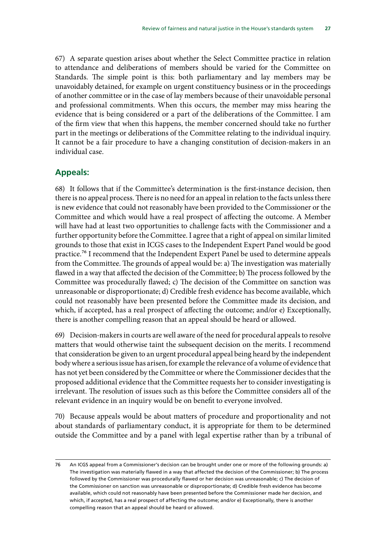67) A separate question arises about whether the Select Committee practice in relation to attendance and deliberations of members should be varied for the Committee on Standards. The simple point is this: both parliamentary and lay members may be unavoidably detained, for example on urgent constituency business or in the proceedings of another committee or in the case of lay members because of their unavoidable personal and professional commitments. When this occurs, the member may miss hearing the evidence that is being considered or a part of the deliberations of the Committee. I am of the firm view that when this happens, the member concerned should take no further part in the meetings or deliberations of the Committee relating to the individual inquiry. It cannot be a fair procedure to have a changing constitution of decision-makers in an individual case.

### **Appeals:**

68) It follows that if the Committee's determination is the first-instance decision, then there is no appeal process. There is no need for an appeal in relation to the facts unless there is new evidence that could not reasonably have been provided to the Commissioner or the Committee and which would have a real prospect of affecting the outcome. A Member will have had at least two opportunities to challenge facts with the Commissioner and a further opportunity before the Committee. I agree that a right of appeal on similar limited grounds to those that exist in ICGS cases to the Independent Expert Panel would be good practice.76 I recommend that the Independent Expert Panel be used to determine appeals from the Committee. The grounds of appeal would be: a) The investigation was materially flawed in a way that affected the decision of the Committee; b) The process followed by the Committee was procedurally flawed; c) The decision of the Committee on sanction was unreasonable or disproportionate; d) Credible fresh evidence has become available, which could not reasonably have been presented before the Committee made its decision, and which, if accepted, has a real prospect of affecting the outcome; and/or e) Exceptionally, there is another compelling reason that an appeal should be heard or allowed.

69) Decision-makers in courts are well aware of the need for procedural appeals to resolve matters that would otherwise taint the subsequent decision on the merits. I recommend that consideration be given to an urgent procedural appeal being heard by the independent body where a serious issue has arisen, for example the relevance of a volume of evidence that has not yet been considered by the Committee or where the Commissioner decides that the proposed additional evidence that the Committee requests her to consider investigating is irrelevant. The resolution of issues such as this before the Committee considers all of the relevant evidence in an inquiry would be on benefit to everyone involved.

70) Because appeals would be about matters of procedure and proportionality and not about standards of parliamentary conduct, it is appropriate for them to be determined outside the Committee and by a panel with legal expertise rather than by a tribunal of

<sup>76</sup> An ICGS appeal from a Commissioner's decision can be brought under one or more of the following grounds: a) The investigation was materially flawed in a way that affected the decision of the Commissioner; b) The process followed by the Commissioner was procedurally flawed or her decision was unreasonable; c) The decision of the Commissioner on sanction was unreasonable or disproportionate; d) Credible fresh evidence has become available, which could not reasonably have been presented before the Commissioner made her decision, and which, if accepted, has a real prospect of affecting the outcome; and/or e) Exceptionally, there is another compelling reason that an appeal should be heard or allowed.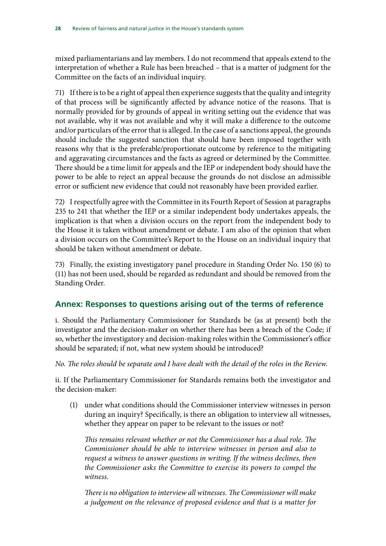mixed parliamentarians and lay members. I do not recommend that appeals extend to the interpretation of whether a Rule has been breached – that is a matter of judgment for the Committee on the facts of an individual inquiry.

71) If there is to be a right of appeal then experience suggests that the quality and integrity of that process will be significantly affected by advance notice of the reasons. That is normally provided for by grounds of appeal in writing setting out the evidence that was not available, why it was not available and why it will make a difference to the outcome and/or particulars of the error that is alleged. In the case of a sanctions appeal, the grounds should include the suggested sanction that should have been imposed together with reasons why that is the preferable/proportionate outcome by reference to the mitigating and aggravating circumstances and the facts as agreed or determined by the Committee. There should be a time limit for appeals and the IEP or independent body should have the power to be able to reject an appeal because the grounds do not disclose an admissible error or sufficient new evidence that could not reasonably have been provided earlier.

72) I respectfully agree with the Committee in its Fourth Report of Session at paragraphs 235 to 241 that whether the IEP or a similar independent body undertakes appeals, the implication is that when a division occurs on the report from the independent body to the House it is taken without amendment or debate. I am also of the opinion that when a division occurs on the Committee's Report to the House on an individual inquiry that should be taken without amendment or debate.

73) Finally, the existing investigatory panel procedure in Standing Order No. 150 (6) to (11) has not been used, should be regarded as redundant and should be removed from the Standing Order.

### **Annex: Responses to questions arising out of the terms of reference**

i. Should the Parliamentary Commissioner for Standards be (as at present) both the investigator and the decision-maker on whether there has been a breach of the Code; if so, whether the investigatory and decision-making roles within the Commissioner's office should be separated; if not, what new system should be introduced?

*No. The roles should be separate and I have dealt with the detail of the roles in the Review.*

ii. If the Parliamentary Commissioner for Standards remains both the investigator and the decision-maker:

(1) under what conditions should the Commissioner interview witnesses in person during an inquiry? Specifically, is there an obligation to interview all witnesses, whether they appear on paper to be relevant to the issues or not?

*This remains relevant whether or not the Commissioner has a dual role. The Commissioner should be able to interview witnesses in person and also to*  request a witness to answer questions in writing. If the witness declines, then *the Commissioner asks the Committee to exercise its powers to compel the witness*.

*There is no obligation to interview all witnesses. The Commissioner will make a judgement on the relevance of proposed evidence and that is a matter for*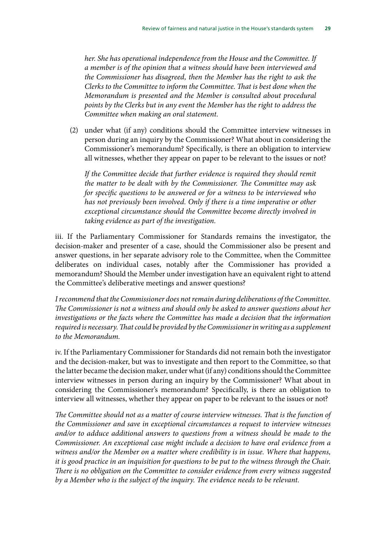*her. She has operational independence from the House and the Committee. If a member is of the opinion that a witness should have been interviewed and the Commissioner has disagreed, then the Member has the right to ask the Clerks to the Committee to inform the Committee. That is best done when the Memorandum is presented and the Member is consulted about procedural points by the Clerks but in any event the Member has the right to address the Committee when making an oral statement.*

(2) under what (if any) conditions should the Committee interview witnesses in person during an inquiry by the Commissioner? What about in considering the Commissioner's memorandum? Specifically, is there an obligation to interview all witnesses, whether they appear on paper to be relevant to the issues or not?

*If the Committee decide that further evidence is required they should remit the matter to be dealt with by the Commissioner. The Committee may ask for specific questions to be answered or for a witness to be interviewed who has not previously been involved. Only if there is a time imperative or other exceptional circumstance should the Committee become directly involved in taking evidence as part of the investigation.*

iii. If the Parliamentary Commissioner for Standards remains the investigator, the decision-maker and presenter of a case, should the Commissioner also be present and answer questions, in her separate advisory role to the Committee, when the Committee deliberates on individual cases, notably after the Commissioner has provided a memorandum? Should the Member under investigation have an equivalent right to attend the Committee's deliberative meetings and answer questions?

*I recommend that the Commissioner does not remain during deliberations of the Committee. The Commissioner is not a witness and should only be asked to answer questions about her investigations or the facts where the Committee has made a decision that the information required is necessary. That could be provided by the Commissioner in writing as a supplement to the Memorandum.*

iv. If the Parliamentary Commissioner for Standards did not remain both the investigator and the decision-maker, but was to investigate and then report to the Committee, so that the latter became the decision maker, under what (if any) conditions should the Committee interview witnesses in person during an inquiry by the Commissioner? What about in considering the Commissioner's memorandum? Specifically, is there an obligation to interview all witnesses, whether they appear on paper to be relevant to the issues or not?

*The Committee should not as a matter of course interview witnesses. That is the function of the Commissioner and save in exceptional circumstances a request to interview witnesses and/or to adduce additional answers to questions from a witness should be made to the Commissioner. An exceptional case might include a decision to have oral evidence from a witness and/or the Member on a matter where credibility is in issue. Where that happens, it is good practice in an inquisition for questions to be put to the witness through the Chair. There is no obligation on the Committee to consider evidence from every witness suggested by a Member who is the subject of the inquiry. The evidence needs to be relevant.*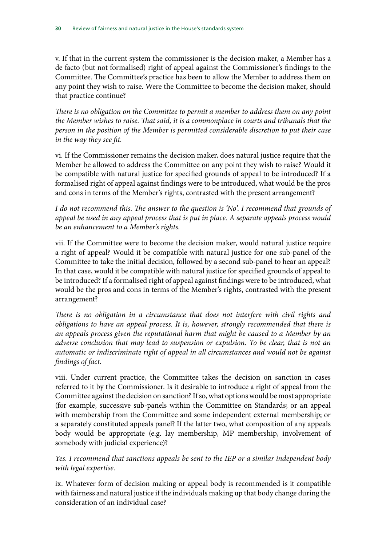v. If that in the current system the commissioner is the decision maker, a Member has a de facto (but not formalised) right of appeal against the Commissioner's findings to the Committee. The Committee's practice has been to allow the Member to address them on any point they wish to raise. Were the Committee to become the decision maker, should that practice continue?

*There is no obligation on the Committee to permit a member to address them on any point the Member wishes to raise. That said, it is a commonplace in courts and tribunals that the person in the position of the Member is permitted considerable discretion to put their case in the way they see fit.*

vi. If the Commissioner remains the decision maker, does natural justice require that the Member be allowed to address the Committee on any point they wish to raise? Would it be compatible with natural justice for specified grounds of appeal to be introduced? If a formalised right of appeal against findings were to be introduced, what would be the pros and cons in terms of the Member's rights, contrasted with the present arrangement?

*I do not recommend this. The answer to the question is 'No'. I recommend that grounds of appeal be used in any appeal process that is put in place. A separate appeals process would be an enhancement to a Member's rights.*

vii. If the Committee were to become the decision maker, would natural justice require a right of appeal? Would it be compatible with natural justice for one sub-panel of the Committee to take the initial decision, followed by a second sub-panel to hear an appeal? In that case, would it be compatible with natural justice for specified grounds of appeal to be introduced? If a formalised right of appeal against findings were to be introduced, what would be the pros and cons in terms of the Member's rights, contrasted with the present arrangement?

*There is no obligation in a circumstance that does not interfere with civil rights and obligations to have an appeal process. It is, however, strongly recommended that there is an appeals process given the reputational harm that might be caused to a Member by an adverse conclusion that may lead to suspension or expulsion. To be clear, that is not an automatic or indiscriminate right of appeal in all circumstances and would not be against findings of fact.*

viii. Under current practice, the Committee takes the decision on sanction in cases referred to it by the Commissioner. Is it desirable to introduce a right of appeal from the Committee against the decision on sanction? If so, what options would be most appropriate (for example, successive sub-panels within the Committee on Standards; or an appeal with membership from the Committee and some independent external membership; or a separately constituted appeals panel? If the latter two, what composition of any appeals body would be appropriate (e.g. lay membership, MP membership, involvement of somebody with judicial experience)?

*Yes. I recommend that sanctions appeals be sent to the IEP or a similar independent body with legal expertise.*

ix. Whatever form of decision making or appeal body is recommended is it compatible with fairness and natural justice if the individuals making up that body change during the consideration of an individual case?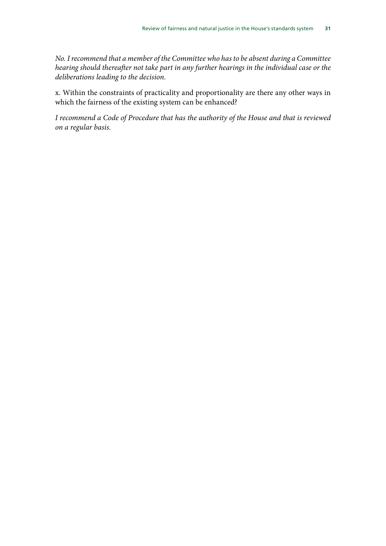*No. I recommend that a member of the Committee who has to be absent during a Committee hearing should thereafter not take part in any further hearings in the individual case or the deliberations leading to the decision.*

x. Within the constraints of practicality and proportionality are there any other ways in which the fairness of the existing system can be enhanced?

*I recommend a Code of Procedure that has the authority of the House and that is reviewed on a regular basis.*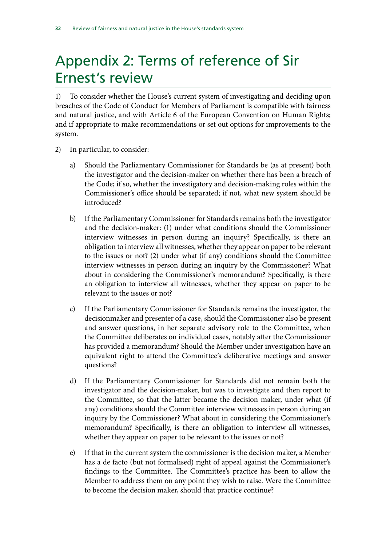# <span id="page-33-0"></span>Appendix 2: Terms of reference of Sir Ernest's review

1) To consider whether the House's current system of investigating and deciding upon breaches of the Code of Conduct for Members of Parliament is compatible with fairness and natural justice, and with Article 6 of the European Convention on Human Rights; and if appropriate to make recommendations or set out options for improvements to the system.

- 2) In particular, to consider:
	- a) Should the Parliamentary Commissioner for Standards be (as at present) both the investigator and the decision-maker on whether there has been a breach of the Code; if so, whether the investigatory and decision-making roles within the Commissioner's office should be separated; if not, what new system should be introduced?
	- b) If the Parliamentary Commissioner for Standards remains both the investigator and the decision-maker: (1) under what conditions should the Commissioner interview witnesses in person during an inquiry? Specifically, is there an obligation to interview all witnesses, whether they appear on paper to be relevant to the issues or not? (2) under what (if any) conditions should the Committee interview witnesses in person during an inquiry by the Commissioner? What about in considering the Commissioner's memorandum? Specifically, is there an obligation to interview all witnesses, whether they appear on paper to be relevant to the issues or not?
	- c) If the Parliamentary Commissioner for Standards remains the investigator, the decisionmaker and presenter of a case, should the Commissioner also be present and answer questions, in her separate advisory role to the Committee, when the Committee deliberates on individual cases, notably after the Commissioner has provided a memorandum? Should the Member under investigation have an equivalent right to attend the Committee's deliberative meetings and answer questions?
	- d) If the Parliamentary Commissioner for Standards did not remain both the investigator and the decision-maker, but was to investigate and then report to the Committee, so that the latter became the decision maker, under what (if any) conditions should the Committee interview witnesses in person during an inquiry by the Commissioner? What about in considering the Commissioner's memorandum? Specifically, is there an obligation to interview all witnesses, whether they appear on paper to be relevant to the issues or not?
	- e) If that in the current system the commissioner is the decision maker, a Member has a de facto (but not formalised) right of appeal against the Commissioner's findings to the Committee. The Committee's practice has been to allow the Member to address them on any point they wish to raise. Were the Committee to become the decision maker, should that practice continue?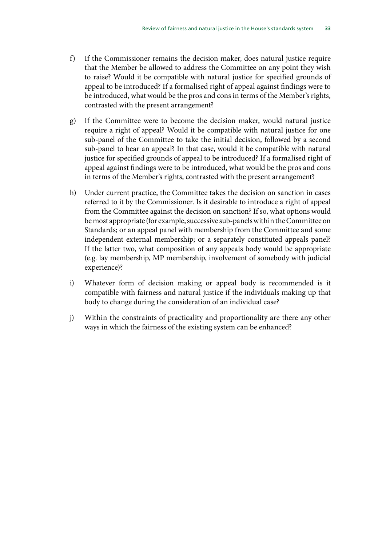- f) If the Commissioner remains the decision maker, does natural justice require that the Member be allowed to address the Committee on any point they wish to raise? Would it be compatible with natural justice for specified grounds of appeal to be introduced? If a formalised right of appeal against findings were to be introduced, what would be the pros and cons in terms of the Member's rights, contrasted with the present arrangement?
- g) If the Committee were to become the decision maker, would natural justice require a right of appeal? Would it be compatible with natural justice for one sub-panel of the Committee to take the initial decision, followed by a second sub-panel to hear an appeal? In that case, would it be compatible with natural justice for specified grounds of appeal to be introduced? If a formalised right of appeal against findings were to be introduced, what would be the pros and cons in terms of the Member's rights, contrasted with the present arrangement?
- h) Under current practice, the Committee takes the decision on sanction in cases referred to it by the Commissioner. Is it desirable to introduce a right of appeal from the Committee against the decision on sanction? If so, what options would be most appropriate (for example, successive sub-panels within the Committee on Standards; or an appeal panel with membership from the Committee and some independent external membership; or a separately constituted appeals panel? If the latter two, what composition of any appeals body would be appropriate (e.g. lay membership, MP membership, involvement of somebody with judicial experience)?
- i) Whatever form of decision making or appeal body is recommended is it compatible with fairness and natural justice if the individuals making up that body to change during the consideration of an individual case?
- j) Within the constraints of practicality and proportionality are there any other ways in which the fairness of the existing system can be enhanced?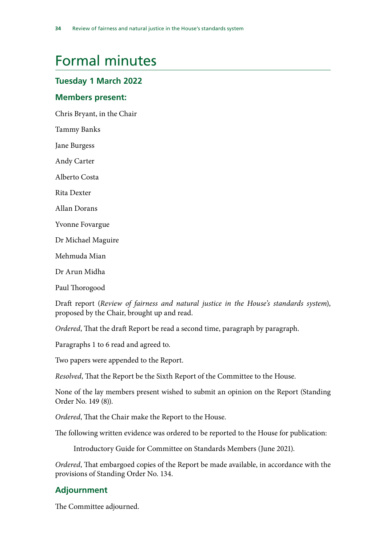# <span id="page-35-0"></span>Formal minutes

### **Tuesday 1 March 2022**

### **Members present:**

Chris Bryant, in the Chair

Tammy Banks

Jane Burgess

Andy Carter

Alberto Costa

Rita Dexter

Allan Dorans

Yvonne Fovargue

Dr Michael Maguire

Mehmuda Mian

Dr Arun Midha

Paul Thorogood

Draft report (*Review of fairness and natural justice in the House's standards system*), proposed by the Chair, brought up and read.

*Ordered*, That the draft Report be read a second time, paragraph by paragraph.

Paragraphs 1 to 6 read and agreed to.

Two papers were appended to the Report.

*Resolved*, That the Report be the Sixth Report of the Committee to the House.

None of the lay members present wished to submit an opinion on the Report (Standing Order No. 149 (8)).

*Ordered*, That the Chair make the Report to the House.

The following written evidence was ordered to be reported to the House for publication:

Introductory Guide for Committee on Standards Members (June 2021).

*Ordered*, That embargoed copies of the Report be made available, in accordance with the provisions of Standing Order No. 134.

### **Adjournment**

The Committee adjourned.